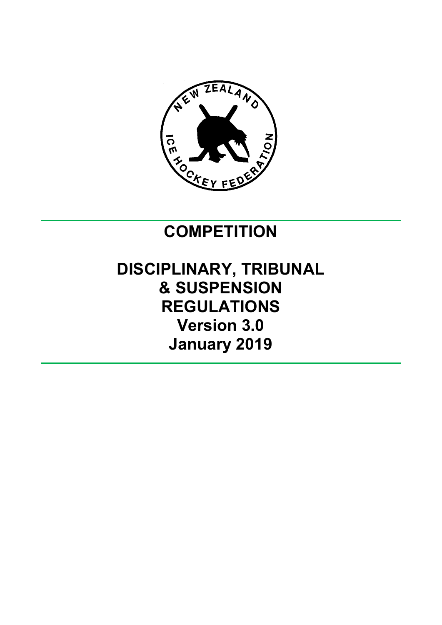

# **COMPETITION**

# **DISCIPLINARY, TRIBUNAL & SUSPENSION REGULATIONS Version 3.0 January 2019**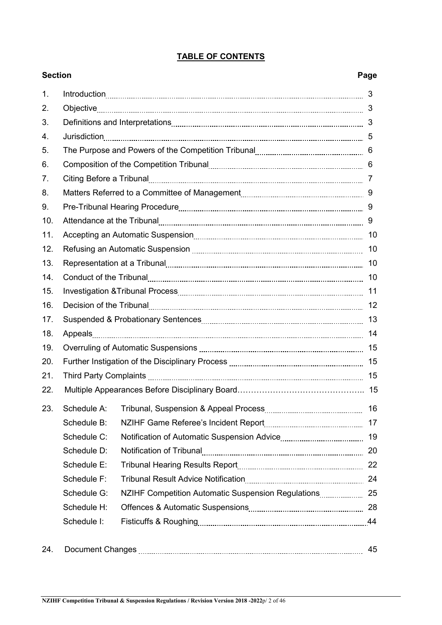| <b>Section</b> |             | Page            |
|----------------|-------------|-----------------|
| 1.             |             |                 |
| 2.             |             |                 |
| 3.             |             |                 |
| 4.             |             |                 |
| 5.             |             |                 |
| 6.             |             |                 |
| 7.             |             |                 |
| 8.             |             |                 |
| 9.             |             |                 |
| 10.            |             |                 |
| 11.            |             |                 |
| 12.            |             |                 |
| 13.            |             |                 |
| 14.            |             | 10              |
| 15.            |             |                 |
| 16.            |             |                 |
| 17.            |             |                 |
| 18.            |             |                 |
| 19.            |             |                 |
| 20.            |             |                 |
| 21.            |             |                 |
| 22.            |             |                 |
| 23.            |             | $\overline{16}$ |
|                | Schedule B: | 17              |
|                | Schedule C: | 19              |
|                | Schedule D: | 20              |
|                | Schedule E: | 22              |
|                | Schedule F: |                 |
|                | Schedule G: |                 |
|                | Schedule H: |                 |
|                | Schedule I: |                 |
| 24.            |             | 45              |
|                |             |                 |

# **TABLE OF CONTENTS**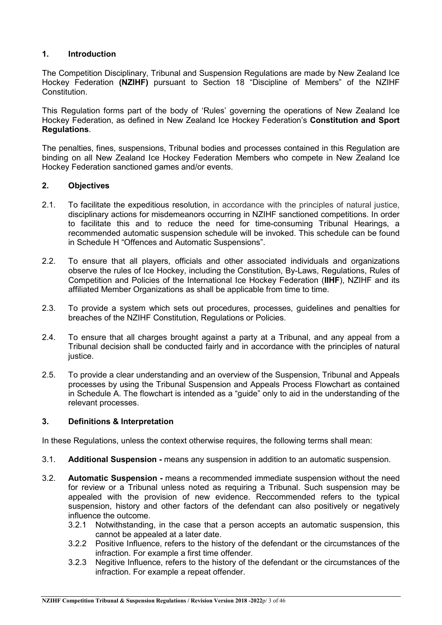### **1. Introduction**

The Competition Disciplinary, Tribunal and Suspension Regulations are made by New Zealand Ice Hockey Federation **(NZIHF)** pursuant to Section 18 "Discipline of Members" of the NZIHF Constitution.

This Regulation forms part of the body of 'Rules' governing the operations of New Zealand Ice Hockey Federation, as defined in New Zealand Ice Hockey Federation's **Constitution and Sport Regulations**.

The penalties, fines, suspensions, Tribunal bodies and processes contained in this Regulation are binding on all New Zealand Ice Hockey Federation Members who compete in New Zealand Ice Hockey Federation sanctioned games and/or events.

#### **2. Objectives**

- 2.1. To facilitate the expeditious resolution, in accordance with the principles of natural justice, disciplinary actions for misdemeanors occurring in NZIHF sanctioned competitions. In order to facilitate this and to reduce the need for time-consuming Tribunal Hearings, a recommended automatic suspension schedule will be invoked. This schedule can be found in Schedule H "Offences and Automatic Suspensions".
- 2.2. To ensure that all players, officials and other associated individuals and organizations observe the rules of Ice Hockey, including the Constitution, By-Laws, Regulations, Rules of Competition and Policies of the International Ice Hockey Federation (**IIHF**), NZIHF and its affiliated Member Organizations as shall be applicable from time to time.
- 2.3. To provide a system which sets out procedures, processes, guidelines and penalties for breaches of the NZIHF Constitution, Regulations or Policies.
- 2.4. To ensure that all charges brought against a party at a Tribunal, and any appeal from a Tribunal decision shall be conducted fairly and in accordance with the principles of natural justice.
- 2.5. To provide a clear understanding and an overview of the Suspension, Tribunal and Appeals processes by using the Tribunal Suspension and Appeals Process Flowchart as contained in Schedule A. The flowchart is intended as a "guide" only to aid in the understanding of the relevant processes.

#### **3. Definitions & Interpretation**

In these Regulations, unless the context otherwise requires, the following terms shall mean:

- 3.1. **Additional Suspension -** means any suspension in addition to an automatic suspension.
- 3.2. **Automatic Suspension -** means a recommended immediate suspension without the need for review or a Tribunal unless noted as requiring a Tribunal. Such suspension may be appealed with the provision of new evidence. Reccommended refers to the typical suspension, history and other factors of the defendant can also positively or negatively influence the outcome.
	- 3.2.1 Notwithstanding, in the case that a person accepts an automatic suspension, this cannot be appealed at a later date.
	- 3.2.2 Positive Influence, refers to the history of the defendant or the circumstances of the infraction. For example a first time offender.
	- 3.2.3 Negitive Influence, refers to the history of the defendant or the circumstances of the infraction. For example a repeat offender.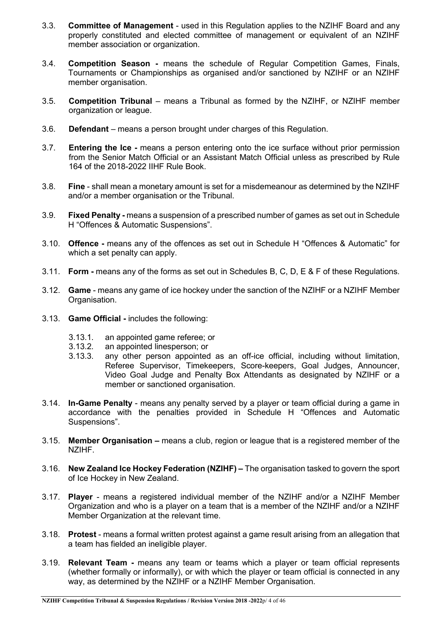- 3.3. **Committee of Management** used in this Regulation applies to the NZIHF Board and any properly constituted and elected committee of management or equivalent of an NZIHF member association or organization.
- 3.4. **Competition Season -** means the schedule of Regular Competition Games, Finals, Tournaments or Championships as organised and/or sanctioned by NZIHF or an NZIHF member organisation.
- 3.5. **Competition Tribunal** means a Tribunal as formed by the NZIHF, or NZIHF member organization or league.
- 3.6. **Defendant** means a person brought under charges of this Regulation.
- 3.7. **Entering the Ice -** means a person entering onto the ice surface without prior permission from the Senior Match Official or an Assistant Match Official unless as prescribed by Rule 164 of the 2018-2022 IIHF Rule Book.
- 3.8. **Fine**  shall mean a monetary amount is set for a misdemeanour as determined by the NZIHF and/or a member organisation or the Tribunal.
- 3.9. **Fixed Penalty -** means a suspension of a prescribed number of games as set out in Schedule H "Offences & Automatic Suspensions".
- 3.10. **Offence -** means any of the offences as set out in Schedule H "Offences & Automatic" for which a set penalty can apply.
- 3.11. **Form -** means any of the forms as set out in Schedules B, C, D, E & F of these Regulations.
- 3.12. **Game** means any game of ice hockey under the sanction of the NZIHF or a NZIHF Member Organisation.
- 3.13. **Game Official -** includes the following:
	- 3.13.1. an appointed game referee; or<br>3.13.2. an appointed linesperson: or
	- an appointed linesperson; or
	- 3.13.3. any other person appointed as an off-ice official, including without limitation, Referee Supervisor, Timekeepers, Score-keepers, Goal Judges, Announcer, Video Goal Judge and Penalty Box Attendants as designated by NZIHF or a member or sanctioned organisation.
- 3.14. **In-Game Penalty** means any penalty served by a player or team official during a game in accordance with the penalties provided in Schedule H "Offences and Automatic Suspensions".
- 3.15. **Member Organisation –** means a club, region or league that is a registered member of the NZIHF.
- 3.16. **New Zealand Ice Hockey Federation (NZIHF) –** The organisation tasked to govern the sport of Ice Hockey in New Zealand.
- 3.17. **Player** means a registered individual member of the NZIHF and/or a NZIHF Member Organization and who is a player on a team that is a member of the NZIHF and/or a NZIHF Member Organization at the relevant time.
- 3.18. **Protest**  means a formal written protest against a game result arising from an allegation that a team has fielded an ineligible player.
- 3.19. **Relevant Team -** means any team or teams which a player or team official represents (whether formally or informally), or with which the player or team official is connected in any way, as determined by the NZIHF or a NZIHF Member Organisation.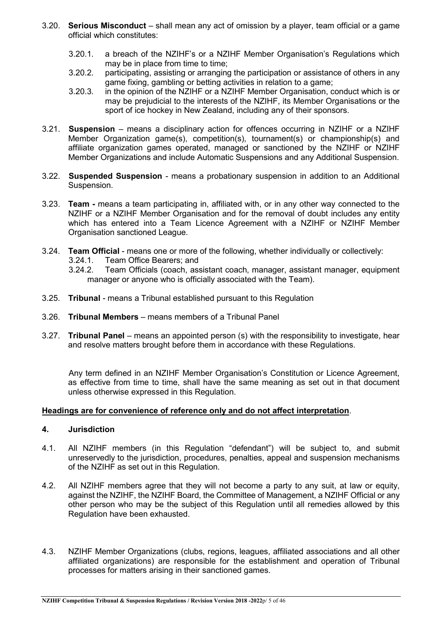- 3.20. **Serious Misconduct** shall mean any act of omission by a player, team official or a game official which constitutes:
	- 3.20.1. a breach of the NZIHF's or a NZIHF Member Organisation's Regulations which may be in place from time to time;
	- 3.20.2. participating, assisting or arranging the participation or assistance of others in any game fixing, gambling or betting activities in relation to a game;
	- 3.20.3. in the opinion of the NZIHF or a NZIHF Member Organisation, conduct which is or may be prejudicial to the interests of the NZIHF, its Member Organisations or the sport of ice hockey in New Zealand, including any of their sponsors.
- 3.21. **Suspension** means a disciplinary action for offences occurring in NZIHF or a NZIHF Member Organization game(s), competition(s), tournament(s) or championship(s) and affiliate organization games operated, managed or sanctioned by the NZIHF or NZIHF Member Organizations and include Automatic Suspensions and any Additional Suspension.
- 3.22. **Suspended Suspension**  means a probationary suspension in addition to an Additional Suspension.
- 3.23. **Team -** means a team participating in, affiliated with, or in any other way connected to the NZIHF or a NZIHF Member Organisation and for the removal of doubt includes any entity which has entered into a Team Licence Agreement with a NZIHF or NZIHF Member Organisation sanctioned League.
- 3.24. **Team Official** means one or more of the following, whether individually or collectively:
	-
	- 3.24.1. Team Office Bearers; and<br>3.24.2. Team Officials (coach, as Team Officials (coach, assistant coach, manager, assistant manager, equipment manager or anyone who is officially associated with the Team).
- 3.25. **Tribunal** means a Tribunal established pursuant to this Regulation
- 3.26. **Tribunal Members**  means members of a Tribunal Panel
- 3.27. **Tribunal Panel** means an appointed person (s) with the responsibility to investigate, hear and resolve matters brought before them in accordance with these Regulations.

Any term defined in an NZIHF Member Organisation's Constitution or Licence Agreement, as effective from time to time, shall have the same meaning as set out in that document unless otherwise expressed in this Regulation.

#### **Headings are for convenience of reference only and do not affect interpretation**.

#### **4. Jurisdiction**

- 4.1. All NZIHF members (in this Regulation "defendant") will be subject to, and submit unreservedly to the jurisdiction, procedures, penalties, appeal and suspension mechanisms of the NZIHF as set out in this Regulation.
- 4.2. All NZIHF members agree that they will not become a party to any suit, at law or equity, against the NZIHF, the NZIHF Board, the Committee of Management, a NZIHF Official or any other person who may be the subject of this Regulation until all remedies allowed by this Regulation have been exhausted.
- 4.3. NZIHF Member Organizations (clubs, regions, leagues, affiliated associations and all other affiliated organizations) are responsible for the establishment and operation of Tribunal processes for matters arising in their sanctioned games.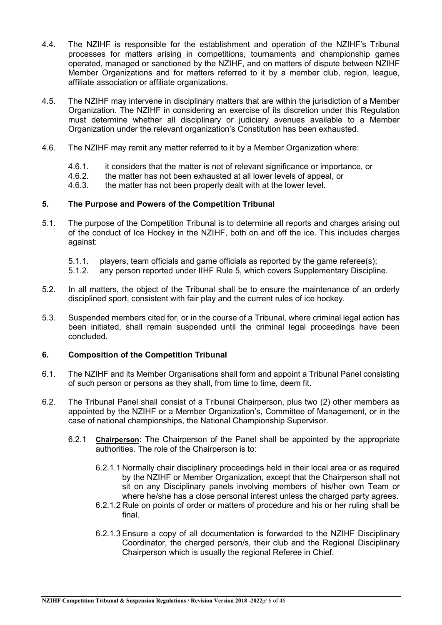- 4.4. The NZIHF is responsible for the establishment and operation of the NZIHF's Tribunal processes for matters arising in competitions, tournaments and championship games operated, managed or sanctioned by the NZIHF, and on matters of dispute between NZIHF Member Organizations and for matters referred to it by a member club, region, league, affiliate association or affiliate organizations.
- 4.5. The NZIHF may intervene in disciplinary matters that are within the jurisdiction of a Member Organization. The NZIHF in considering an exercise of its discretion under this Regulation must determine whether all disciplinary or judiciary avenues available to a Member Organization under the relevant organization's Constitution has been exhausted.
- 4.6. The NZIHF may remit any matter referred to it by a Member Organization where:
	- 4.6.1. it considers that the matter is not of relevant significance or importance, or 4.6.2
	- 4.6.2. the matter has not been exhausted at all lower levels of appeal, or 4.6.3. the matter has not been properly dealt with at the lower level.
	- the matter has not been properly dealt with at the lower level.

#### **5. The Purpose and Powers of the Competition Tribunal**

- 5.1. The purpose of the Competition Tribunal is to determine all reports and charges arising out of the conduct of Ice Hockey in the NZIHF, both on and off the ice. This includes charges against:
	-
	- 5.1.1. players, team officials and game officials as reported by the game referee(s);<br>5.1.2. any person reported under IIHF Rule 5, which covers Supplementary Disciplin any person reported under IIHF Rule 5, which covers Supplementary Discipline.
- 5.2. In all matters, the object of the Tribunal shall be to ensure the maintenance of an orderly disciplined sport, consistent with fair play and the current rules of ice hockey.
- 5.3. Suspended members cited for, or in the course of a Tribunal, where criminal legal action has been initiated, shall remain suspended until the criminal legal proceedings have been concluded.

#### **6. Composition of the Competition Tribunal**

- 6.1. The NZIHF and its Member Organisations shall form and appoint a Tribunal Panel consisting of such person or persons as they shall, from time to time, deem fit.
- 6.2. The Tribunal Panel shall consist of a Tribunal Chairperson, plus two (2) other members as appointed by the NZIHF or a Member Organization's, Committee of Management, or in the case of national championships, the National Championship Supervisor.
	- 6.2.1 **Chairperson**: The Chairperson of the Panel shall be appointed by the appropriate authorities. The role of the Chairperson is to:
		- 6.2.1.1 Normally chair disciplinary proceedings held in their local area or as required by the NZIHF or Member Organization, except that the Chairperson shall not sit on any Disciplinary panels involving members of his/her own Team or where he/she has a close personal interest unless the charged party agrees.
		- 6.2.1.2 Rule on points of order or matters of procedure and his or her ruling shall be final.
		- 6.2.1.3 Ensure a copy of all documentation is forwarded to the NZIHF Disciplinary Coordinator, the charged person/s, their club and the Regional Disciplinary Chairperson which is usually the regional Referee in Chief.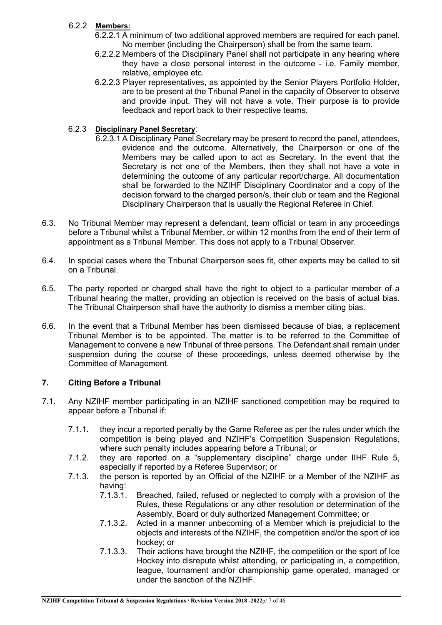### 6.2.2 **Members:**

- 6.2.2.1 A minimum of two additional approved members are required for each panel. No member (including the Chairperson) shall be from the same team.
- 6.2.2.2 Members of the Disciplinary Panel shall not participate in any hearing where they have a close personal interest in the outcome - i.e. Family member, relative, employee etc.
- 6.2.2.3 Player representatives, as appointed by the Senior Players Portfolio Holder, are to be present at the Tribunal Panel in the capacity of Observer to observe and provide input. They will not have a vote. Their purpose is to provide feedback and report back to their respective teams.

#### 6.2.3 **Disciplinary Panel Secretary**:

- 6.2.3.1 A Disciplinary Panel Secretary may be present to record the panel, attendees, evidence and the outcome. Alternatively, the Chairperson or one of the Members may be called upon to act as Secretary. In the event that the Secretary is not one of the Members, then they shall not have a vote in determining the outcome of any particular report/charge. All documentation shall be forwarded to the NZIHF Disciplinary Coordinator and a copy of the decision forward to the charged person/s, their club or team and the Regional Disciplinary Chairperson that is usually the Regional Referee in Chief.
- 6.3. No Tribunal Member may represent a defendant, team official or team in any proceedings before a Tribunal whilst a Tribunal Member, or within 12 months from the end of their term of appointment as a Tribunal Member. This does not apply to a Tribunal Observer.
- 6.4. In special cases where the Tribunal Chairperson sees fit, other experts may be called to sit on a Tribunal.
- 6.5. The party reported or charged shall have the right to object to a particular member of a Tribunal hearing the matter, providing an objection is received on the basis of actual bias. The Tribunal Chairperson shall have the authority to dismiss a member citing bias.
- 6.6. In the event that a Tribunal Member has been dismissed because of bias, a replacement Tribunal Member is to be appointed. The matter is to be referred to the Committee of Management to convene a new Tribunal of three persons. The Defendant shall remain under suspension during the course of these proceedings, unless deemed otherwise by the Committee of Management.

#### **7. Citing Before a Tribunal**

- 7.1. Any NZIHF member participating in an NZIHF sanctioned competition may be required to appear before a Tribunal if:
	- 7.1.1. they incur a reported penalty by the Game Referee as per the rules under which the competition is being played and NZIHF's Competition Suspension Regulations, where such penalty includes appearing before a Tribunal; or
	- 7.1.2. they are reported on a "supplementary discipline" charge under IIHF Rule 5, especially if reported by a Referee Supervisor; or
	- 7.1.3. the person is reported by an Official of the NZIHF or a Member of the NZIHF as having:
		- 7.1.3.1. Breached, failed, refused or neglected to comply with a provision of the Rules, these Regulations or any other resolution or determination of the Assembly, Board or duly authorized Management Committee; or
		- 7.1.3.2. Acted in a manner unbecoming of a Member which is prejudicial to the objects and interests of the NZIHF, the competition and/or the sport of ice hockey; or
		- 7.1.3.3. Their actions have brought the NZIHF, the competition or the sport of Ice Hockey into disrepute whilst attending, or participating in, a competition, league, tournament and/or championship game operated, managed or under the sanction of the NZIHF.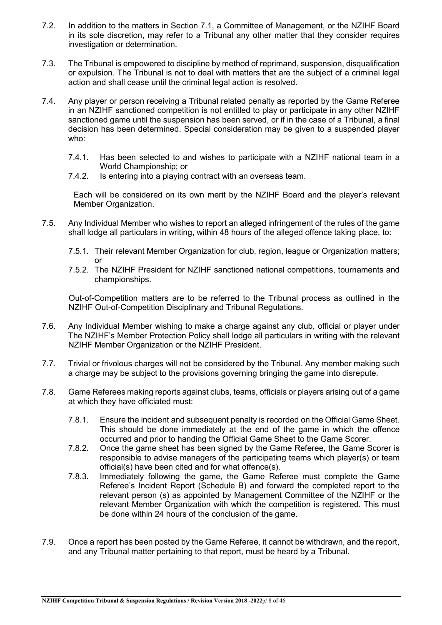- 7.2. In addition to the matters in Section 7.1, a Committee of Management, or the NZIHF Board in its sole discretion, may refer to a Tribunal any other matter that they consider requires investigation or determination.
- 7.3. The Tribunal is empowered to discipline by method of reprimand, suspension, disqualification or expulsion. The Tribunal is not to deal with matters that are the subject of a criminal legal action and shall cease until the criminal legal action is resolved.
- 7.4. Any player or person receiving a Tribunal related penalty as reported by the Game Referee in an NZIHF sanctioned competition is not entitled to play or participate in any other NZIHF sanctioned game until the suspension has been served, or if in the case of a Tribunal, a final decision has been determined. Special consideration may be given to a suspended player who:
	- 7.4.1. Has been selected to and wishes to participate with a NZIHF national team in a World Championship; or
	- 7.4.2. Is entering into a playing contract with an overseas team.

Each will be considered on its own merit by the NZIHF Board and the player's relevant Member Organization.

- 7.5. Any Individual Member who wishes to report an alleged infringement of the rules of the game shall lodge all particulars in writing, within 48 hours of the alleged offence taking place, to:
	- 7.5.1. Their relevant Member Organization for club, region, league or Organization matters; or
	- 7.5.2. The NZIHF President for NZIHF sanctioned national competitions, tournaments and championships.

Out-of-Competition matters are to be referred to the Tribunal process as outlined in the NZIHF Out-of-Competition Disciplinary and Tribunal Regulations.

- 7.6. Any Individual Member wishing to make a charge against any club, official or player under The NZIHF's Member Protection Policy shall lodge all particulars in writing with the relevant NZIHF Member Organization or the NZIHF President.
- 7.7. Trivial or frivolous charges will not be considered by the Tribunal. Any member making such a charge may be subject to the provisions governing bringing the game into disrepute.
- 7.8. Game Referees making reports against clubs, teams, officials or players arising out of a game at which they have officiated must:
	- 7.8.1. Ensure the incident and subsequent penalty is recorded on the Official Game Sheet. This should be done immediately at the end of the game in which the offence occurred and prior to handing the Official Game Sheet to the Game Scorer.
	- 7.8.2. Once the game sheet has been signed by the Game Referee, the Game Scorer is responsible to advise managers of the participating teams which player(s) or team official(s) have been cited and for what offence(s).
	- 7.8.3. Immediately following the game, the Game Referee must complete the Game Referee's Incident Report (Schedule B) and forward the completed report to the relevant person (s) as appointed by Management Committee of the NZIHF or the relevant Member Organization with which the competition is registered. This must be done within 24 hours of the conclusion of the game.
- 7.9. Once a report has been posted by the Game Referee, it cannot be withdrawn, and the report, and any Tribunal matter pertaining to that report, must be heard by a Tribunal.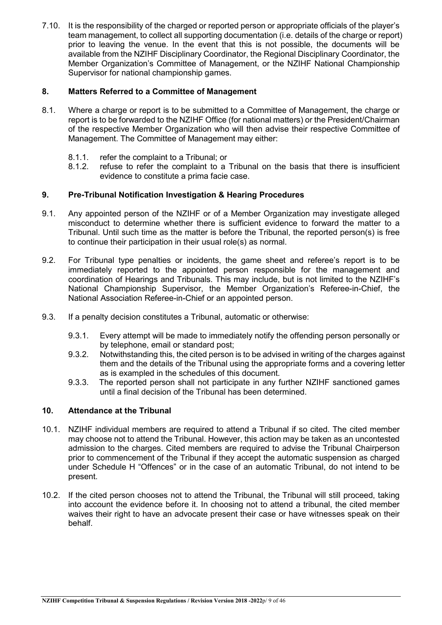7.10. It is the responsibility of the charged or reported person or appropriate officials of the player's team management, to collect all supporting documentation (i.e. details of the charge or report) prior to leaving the venue. In the event that this is not possible, the documents will be available from the NZIHF Disciplinary Coordinator, the Regional Disciplinary Coordinator, the Member Organization's Committee of Management, or the NZIHF National Championship Supervisor for national championship games.

#### **8. Matters Referred to a Committee of Management**

- 8.1. Where a charge or report is to be submitted to a Committee of Management, the charge or report is to be forwarded to the NZIHF Office (for national matters) or the President/Chairman of the respective Member Organization who will then advise their respective Committee of Management. The Committee of Management may either:
	- 8.1.1. refer the complaint to a Tribunal; or 8.1.2. refuse to refer the complaint to a
	- refuse to refer the complaint to a Tribunal on the basis that there is insufficient evidence to constitute a prima facie case.

#### **9. Pre-Tribunal Notification Investigation & Hearing Procedures**

- 9.1. Any appointed person of the NZIHF or of a Member Organization may investigate alleged misconduct to determine whether there is sufficient evidence to forward the matter to a Tribunal. Until such time as the matter is before the Tribunal, the reported person(s) is free to continue their participation in their usual role(s) as normal.
- 9.2. For Tribunal type penalties or incidents, the game sheet and referee's report is to be immediately reported to the appointed person responsible for the management and coordination of Hearings and Tribunals. This may include, but is not limited to the NZIHF's National Championship Supervisor, the Member Organization's Referee-in-Chief, the National Association Referee-in-Chief or an appointed person.
- 9.3. If a penalty decision constitutes a Tribunal, automatic or otherwise:
	- 9.3.1. Every attempt will be made to immediately notify the offending person personally or by telephone, email or standard post;
	- 9.3.2. Notwithstanding this, the cited person is to be advised in writing of the charges against them and the details of the Tribunal using the appropriate forms and a covering letter as is exampled in the schedules of this document.
	- 9.3.3. The reported person shall not participate in any further NZIHF sanctioned games until a final decision of the Tribunal has been determined.

#### **10. Attendance at the Tribunal**

- 10.1. NZIHF individual members are required to attend a Tribunal if so cited. The cited member may choose not to attend the Tribunal. However, this action may be taken as an uncontested admission to the charges. Cited members are required to advise the Tribunal Chairperson prior to commencement of the Tribunal if they accept the automatic suspension as charged under Schedule H "Offences" or in the case of an automatic Tribunal, do not intend to be present.
- 10.2. If the cited person chooses not to attend the Tribunal, the Tribunal will still proceed, taking into account the evidence before it. In choosing not to attend a tribunal, the cited member waives their right to have an advocate present their case or have witnesses speak on their behalf.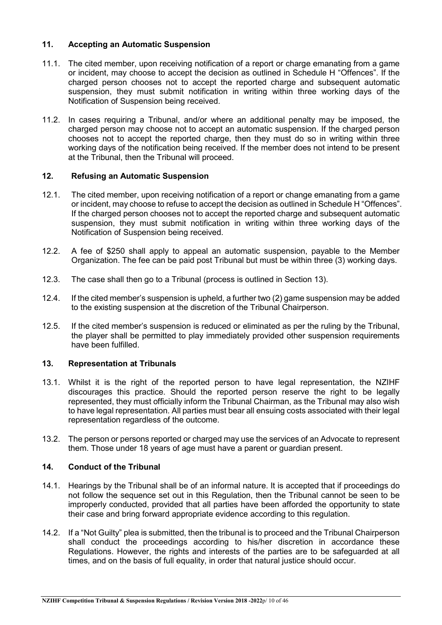#### **11. Accepting an Automatic Suspension**

- 11.1. The cited member, upon receiving notification of a report or charge emanating from a game or incident, may choose to accept the decision as outlined in Schedule H "Offences". If the charged person chooses not to accept the reported charge and subsequent automatic suspension, they must submit notification in writing within three working days of the Notification of Suspension being received.
- 11.2. In cases requiring a Tribunal, and/or where an additional penalty may be imposed, the charged person may choose not to accept an automatic suspension. If the charged person chooses not to accept the reported charge, then they must do so in writing within three working days of the notification being received. If the member does not intend to be present at the Tribunal, then the Tribunal will proceed.

#### **12. Refusing an Automatic Suspension**

- 12.1. The cited member, upon receiving notification of a report or change emanating from a game or incident, may choose to refuse to accept the decision as outlined in Schedule H "Offences". If the charged person chooses not to accept the reported charge and subsequent automatic suspension, they must submit notification in writing within three working days of the Notification of Suspension being received.
- 12.2. A fee of \$250 shall apply to appeal an automatic suspension, payable to the Member Organization. The fee can be paid post Tribunal but must be within three (3) working days.
- 12.3. The case shall then go to a Tribunal (process is outlined in Section 13).
- 12.4. If the cited member's suspension is upheld, a further two (2) game suspension may be added to the existing suspension at the discretion of the Tribunal Chairperson.
- 12.5. If the cited member's suspension is reduced or eliminated as per the ruling by the Tribunal, the player shall be permitted to play immediately provided other suspension requirements have been fulfilled.

#### **13. Representation at Tribunals**

- 13.1. Whilst it is the right of the reported person to have legal representation, the NZIHF discourages this practice. Should the reported person reserve the right to be legally represented, they must officially inform the Tribunal Chairman, as the Tribunal may also wish to have legal representation. All parties must bear all ensuing costs associated with their legal representation regardless of the outcome.
- 13.2. The person or persons reported or charged may use the services of an Advocate to represent them. Those under 18 years of age must have a parent or guardian present.

#### **14. Conduct of the Tribunal**

- 14.1. Hearings by the Tribunal shall be of an informal nature. It is accepted that if proceedings do not follow the sequence set out in this Regulation, then the Tribunal cannot be seen to be improperly conducted, provided that all parties have been afforded the opportunity to state their case and bring forward appropriate evidence according to this regulation.
- 14.2. If a "Not Guilty" plea is submitted, then the tribunal is to proceed and the Tribunal Chairperson shall conduct the proceedings according to his/her discretion in accordance these Regulations. However, the rights and interests of the parties are to be safeguarded at all times, and on the basis of full equality, in order that natural justice should occur.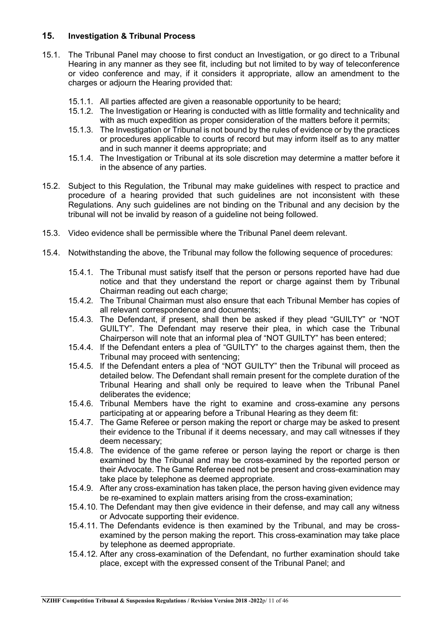#### **15. Investigation & Tribunal Process**

- 15.1. The Tribunal Panel may choose to first conduct an Investigation, or go direct to a Tribunal Hearing in any manner as they see fit, including but not limited to by way of teleconference or video conference and may, if it considers it appropriate, allow an amendment to the charges or adjourn the Hearing provided that:
	- 15.1.1. All parties affected are given a reasonable opportunity to be heard;
	- 15.1.2. The Investigation or Hearing is conducted with as little formality and technicality and with as much expedition as proper consideration of the matters before it permits;
	- 15.1.3. The Investigation or Tribunal is not bound by the rules of evidence or by the practices or procedures applicable to courts of record but may inform itself as to any matter and in such manner it deems appropriate; and
	- 15.1.4. The Investigation or Tribunal at its sole discretion may determine a matter before it in the absence of any parties.
- 15.2. Subject to this Regulation, the Tribunal may make guidelines with respect to practice and procedure of a hearing provided that such guidelines are not inconsistent with these Regulations. Any such guidelines are not binding on the Tribunal and any decision by the tribunal will not be invalid by reason of a guideline not being followed.
- 15.3. Video evidence shall be permissible where the Tribunal Panel deem relevant.
- 15.4. Notwithstanding the above, the Tribunal may follow the following sequence of procedures:
	- 15.4.1. The Tribunal must satisfy itself that the person or persons reported have had due notice and that they understand the report or charge against them by Tribunal Chairman reading out each charge;
	- 15.4.2. The Tribunal Chairman must also ensure that each Tribunal Member has copies of all relevant correspondence and documents;
	- 15.4.3. The Defendant, if present, shall then be asked if they plead "GUILTY" or "NOT GUILTY". The Defendant may reserve their plea, in which case the Tribunal Chairperson will note that an informal plea of "NOT GUILTY" has been entered;
	- 15.4.4. If the Defendant enters a plea of "GUILTY" to the charges against them, then the Tribunal may proceed with sentencing;
	- 15.4.5. If the Defendant enters a plea of "NOT GUILTY" then the Tribunal will proceed as detailed below. The Defendant shall remain present for the complete duration of the Tribunal Hearing and shall only be required to leave when the Tribunal Panel deliberates the evidence;
	- 15.4.6. Tribunal Members have the right to examine and cross-examine any persons participating at or appearing before a Tribunal Hearing as they deem fit:
	- 15.4.7. The Game Referee or person making the report or charge may be asked to present their evidence to the Tribunal if it deems necessary, and may call witnesses if they deem necessary;
	- 15.4.8. The evidence of the game referee or person laying the report or charge is then examined by the Tribunal and may be cross-examined by the reported person or their Advocate. The Game Referee need not be present and cross-examination may take place by telephone as deemed appropriate.
	- 15.4.9. After any cross-examination has taken place, the person having given evidence may be re-examined to explain matters arising from the cross-examination;
	- 15.4.10. The Defendant may then give evidence in their defense, and may call any witness or Advocate supporting their evidence.
	- 15.4.11. The Defendants evidence is then examined by the Tribunal, and may be crossexamined by the person making the report. This cross-examination may take place by telephone as deemed appropriate.
	- 15.4.12. After any cross-examination of the Defendant, no further examination should take place, except with the expressed consent of the Tribunal Panel; and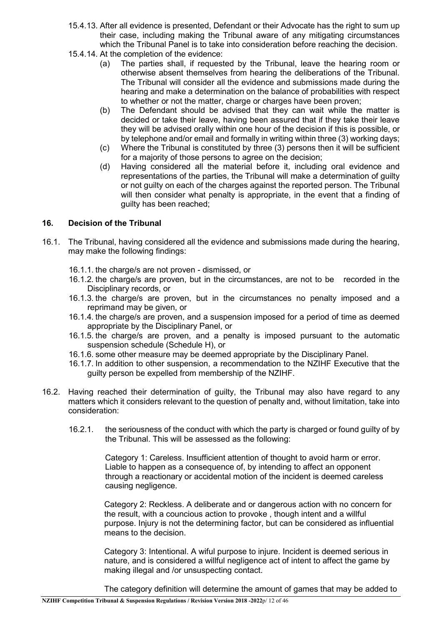- 15.4.13. After all evidence is presented, Defendant or their Advocate has the right to sum up their case, including making the Tribunal aware of any mitigating circumstances which the Tribunal Panel is to take into consideration before reaching the decision.
- 15.4.14. At the completion of the evidence:
	- (a) The parties shall, if requested by the Tribunal, leave the hearing room or otherwise absent themselves from hearing the deliberations of the Tribunal. The Tribunal will consider all the evidence and submissions made during the hearing and make a determination on the balance of probabilities with respect to whether or not the matter, charge or charges have been proven;
	- (b) The Defendant should be advised that they can wait while the matter is decided or take their leave, having been assured that if they take their leave they will be advised orally within one hour of the decision if this is possible, or by telephone and/or email and formally in writing within three (3) working days;
	- (c) Where the Tribunal is constituted by three (3) persons then it will be sufficient for a majority of those persons to agree on the decision;
	- (d) Having considered all the material before it, including oral evidence and representations of the parties, the Tribunal will make a determination of guilty or not guilty on each of the charges against the reported person. The Tribunal will then consider what penalty is appropriate, in the event that a finding of guilty has been reached;

#### **16. Decision of the Tribunal**

- 16.1. The Tribunal, having considered all the evidence and submissions made during the hearing, may make the following findings:
	- 16.1.1. the charge/s are not proven dismissed, or
	- 16.1.2. the charge/s are proven, but in the circumstances, are not to be recorded in the Disciplinary records, or
	- 16.1.3. the charge/s are proven, but in the circumstances no penalty imposed and a reprimand may be given, or
	- 16.1.4. the charge/s are proven, and a suspension imposed for a period of time as deemed appropriate by the Disciplinary Panel, or
	- 16.1.5. the charge/s are proven, and a penalty is imposed pursuant to the automatic suspension schedule (Schedule H), or
	- 16.1.6. some other measure may be deemed appropriate by the Disciplinary Panel.
	- 16.1.7. In addition to other suspension, a recommendation to the NZIHF Executive that the guilty person be expelled from membership of the NZIHF.
- 16.2. Having reached their determination of guilty, the Tribunal may also have regard to any matters which it considers relevant to the question of penalty and, without limitation, take into consideration:
	- 16.2.1. the seriousness of the conduct with which the party is charged or found guilty of by the Tribunal. This will be assessed as the following:

Category 1: Careless. Insufficient attention of thought to avoid harm or error. Liable to happen as a consequence of, by intending to affect an opponent through a reactionary or accidental motion of the incident is deemed careless causing negligence.

Category 2: Reckless. A deliberate and or dangerous action with no concern for the result, with a councious action to provoke , though intent and a willful purpose. Injury is not the determining factor, but can be considered as influential means to the decision.

Category 3: Intentional. A wiful purpose to injure. Incident is deemed serious in nature, and is considered a willful negligence act of intent to affect the game by making illegal and /or unsuspecting contact.

The category definition will determine the amount of games that may be added to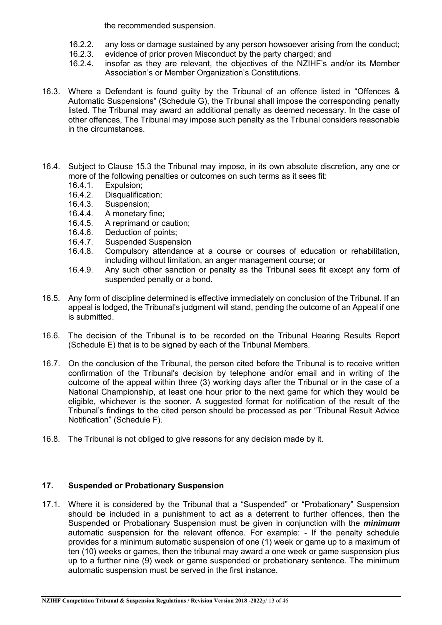the recommended suspension.

- 16.2.2. any loss or damage sustained by any person howsoever arising from the conduct;<br>16.2.3. evidence of prior proven Misconduct by the party charged: and
- 16.2.3. evidence of prior proven Misconduct by the party charged; and 16.2.4. insofar as they are relevant, the objectives of the NZIHF's a
- insofar as they are relevant, the objectives of the NZIHF's and/or its Member Association's or Member Organization's Constitutions.
- 16.3. Where a Defendant is found guilty by the Tribunal of an offence listed in "Offences & Automatic Suspensions" (Schedule G), the Tribunal shall impose the corresponding penalty listed. The Tribunal may award an additional penalty as deemed necessary. In the case of other offences, The Tribunal may impose such penalty as the Tribunal considers reasonable in the circumstances.
- 16.4. Subject to Clause 15.3 the Tribunal may impose, in its own absolute discretion, any one or more of the following penalties or outcomes on such terms as it sees fit:<br>16.4.1. Expulsion:
	- 16.4.1. Expulsion;<br>16.4.2. Disqualifica
	- 16.4.2. Disqualification;<br>16.4.3. Suspension:
	- 16.4.3. Suspension;<br>16.4.4. A monetary f
	- 16.4.4. A monetary fine;<br>16.4.5. A reprimand or c.
	- 16.4.5. A reprimand or caution;<br>16.4.6. Deduction of points;
	- Deduction of points;
	- 16.4.7. Suspended Suspension<br>16.4.8. Compulsory attendance
	- Compulsory attendance at a course or courses of education or rehabilitation, including without limitation, an anger management course; or
	- 16.4.9. Any such other sanction or penalty as the Tribunal sees fit except any form of suspended penalty or a bond.
- 16.5. Any form of discipline determined is effective immediately on conclusion of the Tribunal. If an appeal is lodged, the Tribunal's judgment will stand, pending the outcome of an Appeal if one is submitted.
- 16.6. The decision of the Tribunal is to be recorded on the Tribunal Hearing Results Report (Schedule E) that is to be signed by each of the Tribunal Members.
- 16.7. On the conclusion of the Tribunal, the person cited before the Tribunal is to receive written confirmation of the Tribunal's decision by telephone and/or email and in writing of the outcome of the appeal within three (3) working days after the Tribunal or in the case of a National Championship, at least one hour prior to the next game for which they would be eligible, whichever is the sooner. A suggested format for notification of the result of the Tribunal's findings to the cited person should be processed as per "Tribunal Result Advice Notification" (Schedule F).
- 16.8. The Tribunal is not obliged to give reasons for any decision made by it.

#### **17. Suspended or Probationary Suspension**

17.1. Where it is considered by the Tribunal that a "Suspended" or "Probationary" Suspension should be included in a punishment to act as a deterrent to further offences, then the Suspended or Probationary Suspension must be given in conjunction with the *minimum* automatic suspension for the relevant offence. For example: - If the penalty schedule provides for a minimum automatic suspension of one (1) week or game up to a maximum of ten (10) weeks or games, then the tribunal may award a one week or game suspension plus up to a further nine (9) week or game suspended or probationary sentence. The minimum automatic suspension must be served in the first instance.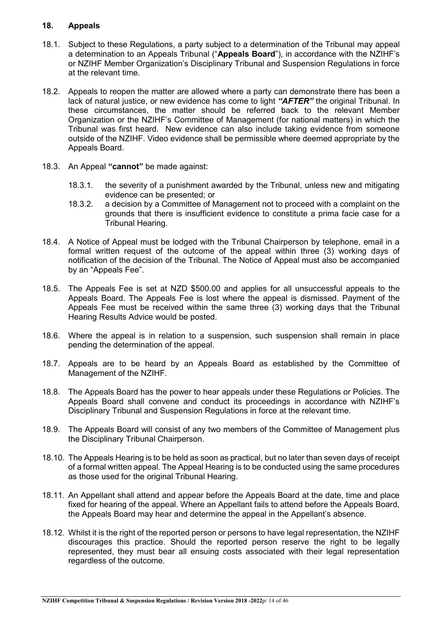#### **18. Appeals**

- 18.1. Subject to these Regulations, a party subject to a determination of the Tribunal may appeal a determination to an Appeals Tribunal ("**Appeals Board**"), in accordance with the NZIHF's or NZIHF Member Organization's Disciplinary Tribunal and Suspension Regulations in force at the relevant time.
- 18.2. Appeals to reopen the matter are allowed where a party can demonstrate there has been a lack of natural justice, or new evidence has come to light *"AFTER"* the original Tribunal. In these circumstances, the matter should be referred back to the relevant Member Organization or the NZIHF's Committee of Management (for national matters) in which the Tribunal was first heard. New evidence can also include taking evidence from someone outside of the NZIHF. Video evidence shall be permissible where deemed appropriate by the Appeals Board.
- 18.3. An Appeal **"cannot"** be made against:
	- 18.3.1. the severity of a punishment awarded by the Tribunal, unless new and mitigating evidence can be presented; or
	- 18.3.2. a decision by a Committee of Management not to proceed with a complaint on the grounds that there is insufficient evidence to constitute a prima facie case for a Tribunal Hearing.
- 18.4. A Notice of Appeal must be lodged with the Tribunal Chairperson by telephone, email in a formal written request of the outcome of the appeal within three (3) working days of notification of the decision of the Tribunal. The Notice of Appeal must also be accompanied by an "Appeals Fee".
- 18.5. The Appeals Fee is set at NZD \$500.00 and applies for all unsuccessful appeals to the Appeals Board. The Appeals Fee is lost where the appeal is dismissed. Payment of the Appeals Fee must be received within the same three (3) working days that the Tribunal Hearing Results Advice would be posted.
- 18.6. Where the appeal is in relation to a suspension, such suspension shall remain in place pending the determination of the appeal.
- 18.7. Appeals are to be heard by an Appeals Board as established by the Committee of Management of the NZIHF.
- 18.8. The Appeals Board has the power to hear appeals under these Regulations or Policies. The Appeals Board shall convene and conduct its proceedings in accordance with NZIHF's Disciplinary Tribunal and Suspension Regulations in force at the relevant time.
- 18.9. The Appeals Board will consist of any two members of the Committee of Management plus the Disciplinary Tribunal Chairperson.
- 18.10. The Appeals Hearing is to be held as soon as practical, but no later than seven days of receipt of a formal written appeal. The Appeal Hearing is to be conducted using the same procedures as those used for the original Tribunal Hearing.
- 18.11. An Appellant shall attend and appear before the Appeals Board at the date, time and place fixed for hearing of the appeal. Where an Appellant fails to attend before the Appeals Board, the Appeals Board may hear and determine the appeal in the Appellant's absence.
- 18.12. Whilst it is the right of the reported person or persons to have legal representation, the NZIHF discourages this practice. Should the reported person reserve the right to be legally represented, they must bear all ensuing costs associated with their legal representation regardless of the outcome.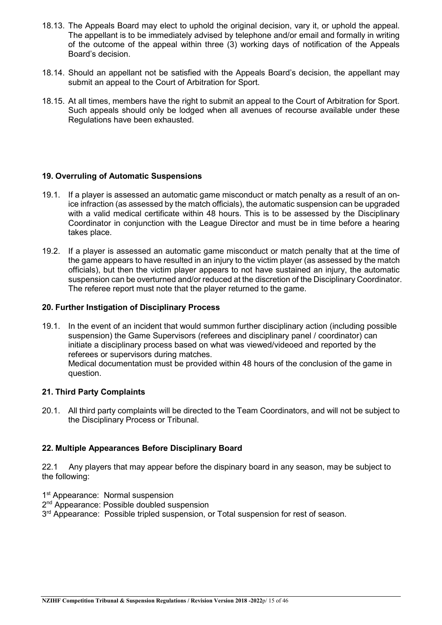- 18.13. The Appeals Board may elect to uphold the original decision, vary it, or uphold the appeal. The appellant is to be immediately advised by telephone and/or email and formally in writing of the outcome of the appeal within three (3) working days of notification of the Appeals Board's decision.
- 18.14. Should an appellant not be satisfied with the Appeals Board's decision, the appellant may submit an appeal to the Court of Arbitration for Sport.
- 18.15. At all times, members have the right to submit an appeal to the Court of Arbitration for Sport. Such appeals should only be lodged when all avenues of recourse available under these Regulations have been exhausted.

#### **19. Overruling of Automatic Suspensions**

- 19.1. If a player is assessed an automatic game misconduct or match penalty as a result of an onice infraction (as assessed by the match officials), the automatic suspension can be upgraded with a valid medical certificate within 48 hours. This is to be assessed by the Disciplinary Coordinator in conjunction with the League Director and must be in time before a hearing takes place.
- 19.2. If a player is assessed an automatic game misconduct or match penalty that at the time of the game appears to have resulted in an injury to the victim player (as assessed by the match officials), but then the victim player appears to not have sustained an injury, the automatic suspension can be overturned and/or reduced at the discretion of the Disciplinary Coordinator. The referee report must note that the player returned to the game.

#### **20. Further Instigation of Disciplinary Process**

19.1. In the event of an incident that would summon further disciplinary action (including possible suspension) the Game Supervisors (referees and disciplinary panel / coordinator) can initiate a disciplinary process based on what was viewed/videoed and reported by the referees or supervisors during matches. Medical documentation must be provided within 48 hours of the conclusion of the game in question.

#### **21. Third Party Complaints**

20.1. All third party complaints will be directed to the Team Coordinators, and will not be subject to the Disciplinary Process or Tribunal.

#### **22. Multiple Appearances Before Disciplinary Board**

22.1 Any players that may appear before the dispinary board in any season, may be subject to the following:

- 1<sup>st</sup> Appearance: Normal suspension
- 2<sup>nd</sup> Appearance: Possible doubled suspension

3<sup>rd</sup> Appearance: Possible tripled suspension, or Total suspension for rest of season.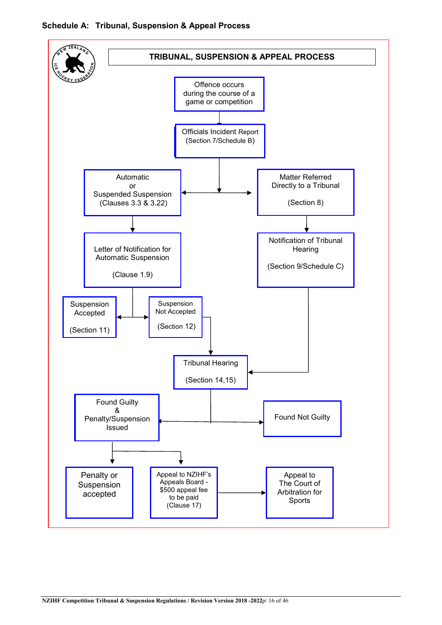

#### **Schedule A: Tribunal, Suspension & Appeal Process**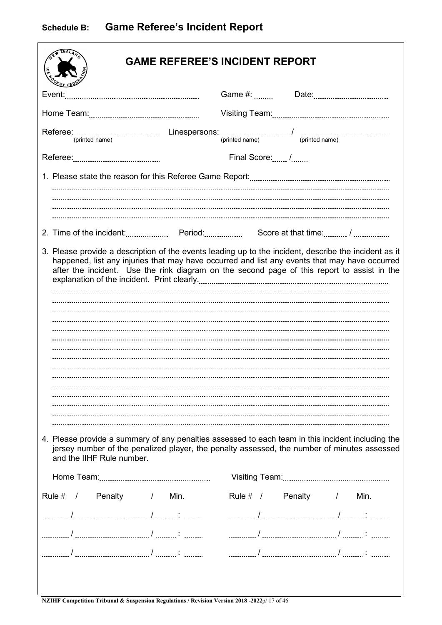$\sqrt{ }$ 

|                           | <b>GAME REFEREE'S INCIDENT REPORT</b>                                                                                                                                                                                                                                                                                                                                                                                                                                                                     |
|---------------------------|-----------------------------------------------------------------------------------------------------------------------------------------------------------------------------------------------------------------------------------------------------------------------------------------------------------------------------------------------------------------------------------------------------------------------------------------------------------------------------------------------------------|
| Event:                    |                                                                                                                                                                                                                                                                                                                                                                                                                                                                                                           |
|                           |                                                                                                                                                                                                                                                                                                                                                                                                                                                                                                           |
|                           |                                                                                                                                                                                                                                                                                                                                                                                                                                                                                                           |
|                           | Final Score: /                                                                                                                                                                                                                                                                                                                                                                                                                                                                                            |
|                           |                                                                                                                                                                                                                                                                                                                                                                                                                                                                                                           |
|                           |                                                                                                                                                                                                                                                                                                                                                                                                                                                                                                           |
| and the IIHF Rule number. | 3. Please provide a description of the events leading up to the incident, describe the incident as it<br>happened, list any injuries that may have occurred and list any events that may have occurred<br>after the incident. Use the rink diagram on the second page of this report to assist in the<br>4. Please provide a summary of any penalties assessed to each team in this incident including the<br>jersey number of the penalized player, the penalty assessed, the number of minutes assessed |
|                           |                                                                                                                                                                                                                                                                                                                                                                                                                                                                                                           |
| Rule # / Penalty / Min.   | Rule # / Penalty /<br>Min.                                                                                                                                                                                                                                                                                                                                                                                                                                                                                |
|                           |                                                                                                                                                                                                                                                                                                                                                                                                                                                                                                           |
|                           |                                                                                                                                                                                                                                                                                                                                                                                                                                                                                                           |
|                           |                                                                                                                                                                                                                                                                                                                                                                                                                                                                                                           |

 $\mathbf{I}$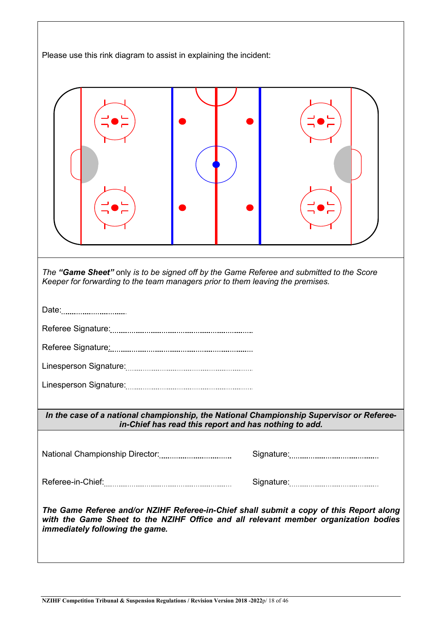Please use this rink diagram to assist in explaining the incident: *The "Game Sheet"* only *is to be signed off by the Game Referee and submitted to the Score Keeper for forwarding to the team managers prior to them leaving the premises.*  Date:<sub>................................</sub> Referee Signature: Referee Signature: Linesperson Signature: Linesperson Signature: *In the case of a national championship, the National Championship Supervisor or Refereein-Chief has read this report and has nothing to add.* National Championship Director: Signature: Referee-in-Chief: Signature: *The Game Referee and/or NZIHF Referee-in-Chief shall submit a copy of this Report along with the Game Sheet to the NZIHF Office and all relevant member organization bodies immediately following the game.*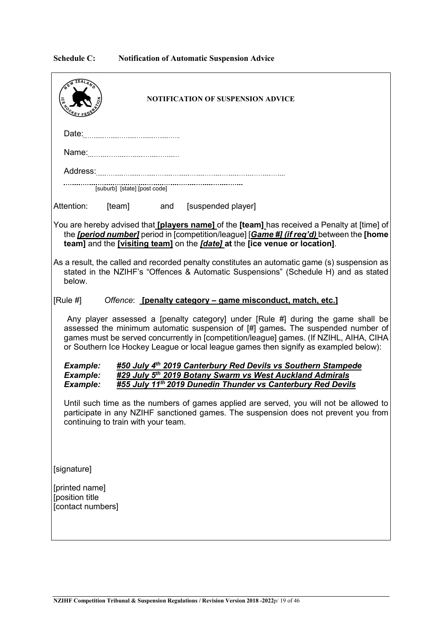### **Schedule C: Notification of Automatic Suspension Advice**

| <b>NOTIFICATION OF SUSPENSION ADVICE</b>                                                                                                                                                                                                                                                                                                              |
|-------------------------------------------------------------------------------------------------------------------------------------------------------------------------------------------------------------------------------------------------------------------------------------------------------------------------------------------------------|
|                                                                                                                                                                                                                                                                                                                                                       |
|                                                                                                                                                                                                                                                                                                                                                       |
|                                                                                                                                                                                                                                                                                                                                                       |
|                                                                                                                                                                                                                                                                                                                                                       |
| Attention:<br>[team] and [suspended player]                                                                                                                                                                                                                                                                                                           |
| You are hereby advised that <i>[players name]</i> of the <i>[team]</i> has received a Penalty at [time] of<br>the <i>[period number]</i> period in [competition/league] [Game #] (if req'd) between the [home<br>team] and the [visiting team] on the [date] at the [ice venue or location].                                                          |
| As a result, the called and recorded penalty constitutes an automatic game (s) suspension as<br>stated in the NZIHF's "Offences & Automatic Suspensions" (Schedule H) and as stated<br>below.                                                                                                                                                         |
| [Rule #]<br>Offence: [penalty category - game misconduct, match, etc.]                                                                                                                                                                                                                                                                                |
| Any player assessed a [penalty category] under [Rule #] during the game shall be<br>assessed the minimum automatic suspension of [#] games. The suspended number of<br>games must be served concurrently in [competition/league] games. (If NZIHL, AIHA, CIHA<br>or Southern Ice Hockey League or local league games then signify as exampled below): |
| #50 July 4 <sup>th</sup> 2019 Canterbury Red Devils vs Southern Stampede<br><b>Example:</b><br>#29 July 5th 2019 Botany Swarm vs West Auckland Admirals<br>Example:<br>Example:<br>#55 July 11th 2019 Dunedin Thunder vs Canterbury Red Devils                                                                                                        |
| Until such time as the numbers of games applied are served, you will not be allowed to<br>participate in any NZIHF sanctioned games. The suspension does not prevent you from<br>continuing to train with your team.                                                                                                                                  |
| [signature]                                                                                                                                                                                                                                                                                                                                           |
| [printed name]<br>[position title<br>[contact numbers]                                                                                                                                                                                                                                                                                                |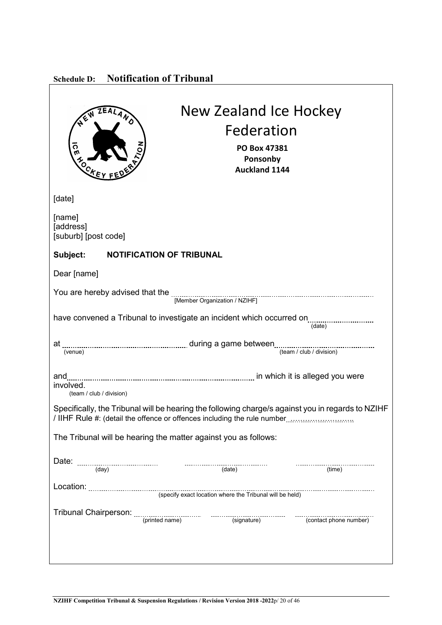| <b>Schedule D:</b> | <b>Notification of Tribunal</b> |  |
|--------------------|---------------------------------|--|
|                    |                                 |  |

 $\mathsf{r}$ 

| <b>New Zealand Ice Hockey</b><br>EALAND<br>Federation<br><b>ICE</b><br>PO Box 47381<br>Ponsonby<br>$\lambda$<br><b>Auckland 1144</b> |
|--------------------------------------------------------------------------------------------------------------------------------------|
| [date]                                                                                                                               |
| [name]<br>[address]<br>[suburb] [post code]                                                                                          |
| Subject: NOTIFICATION OF TRIBUNAL                                                                                                    |
| Dear [name]                                                                                                                          |
|                                                                                                                                      |
| have convened a Tribunal to investigate an incident which occurred on<br>(data)                                                      |
|                                                                                                                                      |
| and<br>involved.<br>(team / club / division)                                                                                         |
| Specifically, the Tribunal will be hearing the following charge/s against you in regards to NZIHF                                    |
| The Tribunal will be hearing the matter against you as follows:                                                                      |
| <br>(time)                                                                                                                           |
|                                                                                                                                      |
|                                                                                                                                      |
|                                                                                                                                      |

٦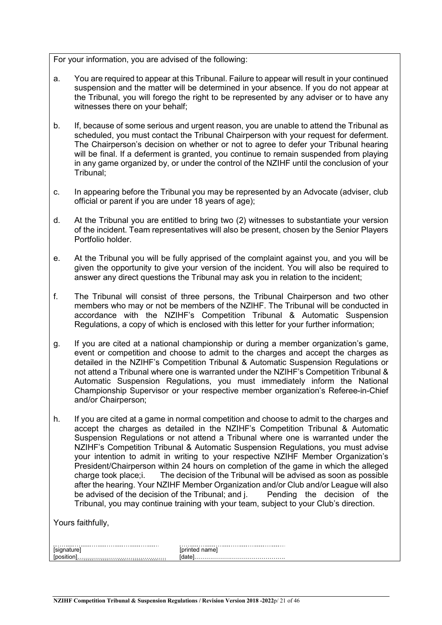For your information, you are advised of the following:

- a. You are required to appear at this Tribunal. Failure to appear will result in your continued suspension and the matter will be determined in your absence. If you do not appear at the Tribunal, you will forego the right to be represented by any adviser or to have any witnesses there on your behalf;
- b. If, because of some serious and urgent reason, you are unable to attend the Tribunal as scheduled, you must contact the Tribunal Chairperson with your request for deferment. The Chairperson's decision on whether or not to agree to defer your Tribunal hearing will be final. If a deferment is granted, you continue to remain suspended from playing in any game organized by, or under the control of the NZIHF until the conclusion of your Tribunal;
- c. In appearing before the Tribunal you may be represented by an Advocate (adviser, club official or parent if you are under 18 years of age);
- d. At the Tribunal you are entitled to bring two (2) witnesses to substantiate your version of the incident. Team representatives will also be present, chosen by the Senior Players Portfolio holder.
- e. At the Tribunal you will be fully apprised of the complaint against you, and you will be given the opportunity to give your version of the incident. You will also be required to answer any direct questions the Tribunal may ask you in relation to the incident;
- f. The Tribunal will consist of three persons, the Tribunal Chairperson and two other members who may or not be members of the NZIHF. The Tribunal will be conducted in accordance with the NZIHF's Competition Tribunal & Automatic Suspension Regulations, a copy of which is enclosed with this letter for your further information;
- g. If you are cited at a national championship or during a member organization's game, event or competition and choose to admit to the charges and accept the charges as detailed in the NZIHF's Competition Tribunal & Automatic Suspension Regulations or not attend a Tribunal where one is warranted under the NZIHF's Competition Tribunal & Automatic Suspension Regulations, you must immediately inform the National Championship Supervisor or your respective member organization's Referee-in-Chief and/or Chairperson;
- h. If you are cited at a game in normal competition and choose to admit to the charges and accept the charges as detailed in the NZIHF's Competition Tribunal & Automatic Suspension Regulations or not attend a Tribunal where one is warranted under the NZIHF's Competition Tribunal & Automatic Suspension Regulations, you must advise your intention to admit in writing to your respective NZIHF Member Organization's President/Chairperson within 24 hours on completion of the game in which the alleged charge took place; i. The decision of the Tribunal will be advised as soon as possible The decision of the Tribunal will be advised as soon as possible after the hearing. Your NZIHF Member Organization and/or Club and/or League will also<br>be advised of the decision of the Tribunal; and j. Pending the decision of the be advised of the decision of the Tribunal; and j. Tribunal, you may continue training with your team, subject to your Club's direction.

Yours faithfully,

| *deedsaattereereessaattereereessaattereereereessa |  |
|---------------------------------------------------|--|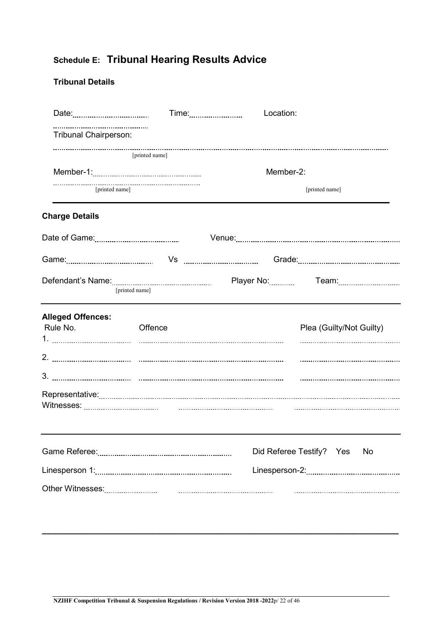# **Schedule E: Tribunal Hearing Results Advice**

## **Tribunal Details**

|                                      | Time: <b>William Street Products</b> | Location: |                                                                                                                |
|--------------------------------------|--------------------------------------|-----------|----------------------------------------------------------------------------------------------------------------|
| <b>Tribunal Chairperson:</b>         |                                      |           |                                                                                                                |
|                                      | [printed name]                       |           |                                                                                                                |
|                                      |                                      | Member-2: |                                                                                                                |
|                                      | [printed name]                       |           | [printed name]                                                                                                 |
| <b>Charge Details</b>                |                                      |           |                                                                                                                |
|                                      |                                      |           |                                                                                                                |
|                                      |                                      |           | Game: 2000 Morrison Museum Vs 2000 Morrison Museum Crade: 2000 Morrison Museum Museum Museum Museum Museum Mus |
|                                      | [printed name]                       |           |                                                                                                                |
| <b>Alleged Offences:</b><br>Rule No. | Offence                              |           | Plea (Guilty/Not Guilty)                                                                                       |
|                                      |                                      |           |                                                                                                                |
|                                      |                                      |           |                                                                                                                |
|                                      |                                      |           |                                                                                                                |
|                                      |                                      |           | Did Referee Testify? Yes<br>No                                                                                 |
|                                      |                                      |           |                                                                                                                |
|                                      |                                      |           |                                                                                                                |

**\_\_\_\_\_\_\_\_\_\_\_\_\_\_\_\_\_\_\_\_\_\_\_\_\_\_\_\_\_\_\_\_\_\_\_\_\_\_\_\_\_\_\_\_\_\_\_\_\_\_\_\_\_\_\_\_\_\_\_\_\_\_\_\_\_\_\_\_\_\_\_\_**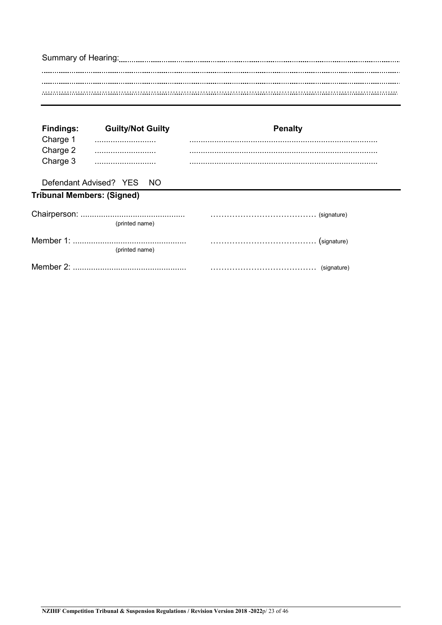| <b>Findings:</b><br>Charge 1 | <b>Guilty/Not Guilty</b>          | <b>Penalty</b> |
|------------------------------|-----------------------------------|----------------|
| Charge 2                     |                                   |                |
| Charge 3                     |                                   |                |
|                              | Defendant Advised? YES NO         |                |
|                              | <b>Tribunal Members: (Signed)</b> |                |
|                              |                                   |                |
|                              | (printed name)                    |                |
|                              |                                   |                |
|                              | (printed name)                    |                |
|                              |                                   |                |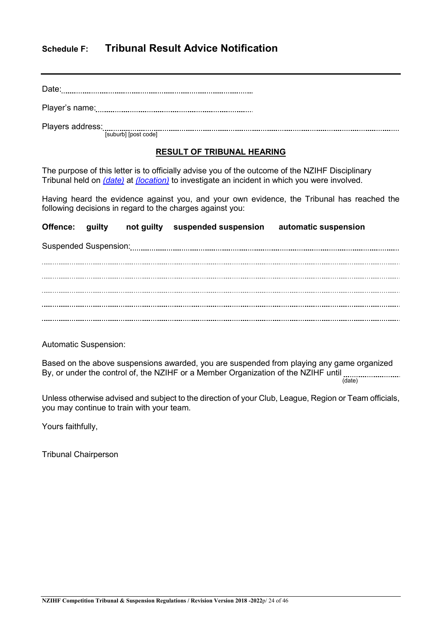## **Schedule F: Tribunal Result Advice Notification**

Date:

Player's name:

Players address: [suburb] [post code]

#### **RESULT OF TRIBUNAL HEARING**

The purpose of this letter is to officially advise you of the outcome of the NZIHF Disciplinary Tribunal held on *(date)* at *(location)* to investigate an incident in which you were involved.

Having heard the evidence against you, and your own evidence, the Tribunal has reached the following decisions in regard to the charges against you:

**Offence: guilty not guilty suspended suspension automatic suspension** Suspended Suspension: 

Automatic Suspension:

Based on the above suspensions awarded, you are suspended from playing any game organized Bused on the case of the control of, the NZIHF or a Member Organization of the NZIHF until (date)

Unless otherwise advised and subject to the direction of your Club, League, Region or Team officials, you may continue to train with your team.

Yours faithfully,

Tribunal Chairperson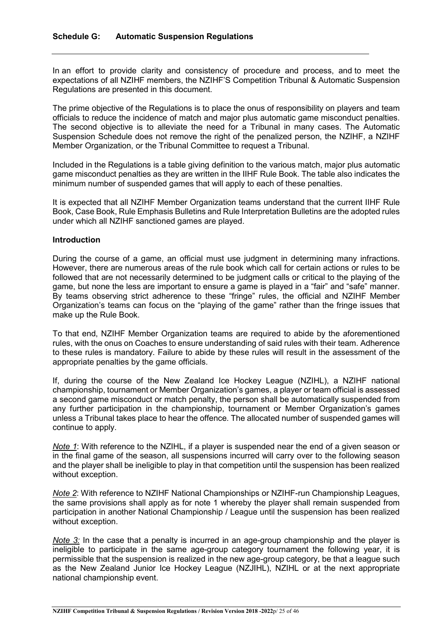In an effort to provide clarity and consistency of procedure and process, and to meet the expectations of all NZIHF members, the NZIHF'S Competition Tribunal & Automatic Suspension Regulations are presented in this document.

The prime objective of the Regulations is to place the onus of responsibility on players and team officials to reduce the incidence of match and major plus automatic game misconduct penalties. The second objective is to alleviate the need for a Tribunal in many cases. The Automatic Suspension Schedule does not remove the right of the penalized person, the NZIHF, a NZIHF Member Organization, or the Tribunal Committee to request a Tribunal.

Included in the Regulations is a table giving definition to the various match, major plus automatic game misconduct penalties as they are written in the IIHF Rule Book. The table also indicates the minimum number of suspended games that will apply to each of these penalties.

It is expected that all NZIHF Member Organization teams understand that the current IIHF Rule Book, Case Book, Rule Emphasis Bulletins and Rule Interpretation Bulletins are the adopted rules under which all NZIHF sanctioned games are played.

#### **Introduction**

During the course of a game, an official must use judgment in determining many infractions. However, there are numerous areas of the rule book which call for certain actions or rules to be followed that are not necessarily determined to be judgment calls or critical to the playing of the game, but none the less are important to ensure a game is played in a "fair" and "safe" manner. By teams observing strict adherence to these "fringe" rules, the official and NZIHF Member Organization's teams can focus on the "playing of the game" rather than the fringe issues that make up the Rule Book.

To that end, NZIHF Member Organization teams are required to abide by the aforementioned rules, with the onus on Coaches to ensure understanding of said rules with their team. Adherence to these rules is mandatory. Failure to abide by these rules will result in the assessment of the appropriate penalties by the game officials.

If, during the course of the New Zealand Ice Hockey League (NZIHL), a NZIHF national championship, tournament or Member Organization's games, a player or team official is assessed a second game misconduct or match penalty, the person shall be automatically suspended from any further participation in the championship, tournament or Member Organization's games unless a Tribunal takes place to hear the offence. The allocated number of suspended games will continue to apply.

*Note 1*: With reference to the NZIHL, if a player is suspended near the end of a given season or in the final game of the season, all suspensions incurred will carry over to the following season and the player shall be ineligible to play in that competition until the suspension has been realized without exception.

*Note 2*: With reference to NZIHF National Championships or NZIHF-run Championship Leagues, the same provisions shall apply as for note 1 whereby the player shall remain suspended from participation in another National Championship / League until the suspension has been realized without exception.

*Note 3:* In the case that a penalty is incurred in an age-group championship and the player is ineligible to participate in the same age-group category tournament the following year, it is permissible that the suspension is realized in the new age-group category, be that a league such as the New Zealand Junior Ice Hockey League (NZJIHL), NZIHL or at the next appropriate national championship event.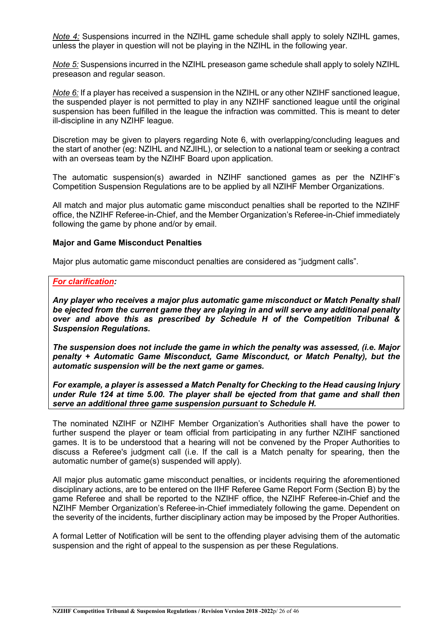*Note 4:* Suspensions incurred in the NZIHL game schedule shall apply to solely NZIHL games, unless the player in question will not be playing in the NZIHL in the following year.

*Note 5:* Suspensions incurred in the NZIHL preseason game schedule shall apply to solely NZIHL preseason and regular season.

*Note 6:* If a player has received a suspension in the NZIHL or any other NZIHF sanctioned league, the suspended player is not permitted to play in any NZIHF sanctioned league until the original suspension has been fulfilled in the league the infraction was committed. This is meant to deter ill-discipline in any NZIHF league.

Discretion may be given to players regarding Note 6, with overlapping/concluding leagues and the start of another (eg: NZIHL and NZJIHL), or selection to a national team or seeking a contract with an overseas team by the NZIHF Board upon application.

The automatic suspension(s) awarded in NZIHF sanctioned games as per the NZIHF's Competition Suspension Regulations are to be applied by all NZIHF Member Organizations.

All match and major plus automatic game misconduct penalties shall be reported to the NZIHF office, the NZIHF Referee-in-Chief, and the Member Organization's Referee-in-Chief immediately following the game by phone and/or by email.

#### **Major and Game Misconduct Penalties**

Major plus automatic game misconduct penalties are considered as "judgment calls".

#### *For clarification:*

*Any player who receives a major plus automatic game misconduct or Match Penalty shall be ejected from the current game they are playing in and will serve any additional penalty over and above this as prescribed by Schedule H of the Competition Tribunal & Suspension Regulations.*

*The suspension does not include the game in which the penalty was assessed, (i.e. Major penalty + Automatic Game Misconduct, Game Misconduct, or Match Penalty), but the automatic suspension will be the next game or games.* 

*For example, a player is assessed a Match Penalty for Checking to the Head causing Injury under Rule 124 at time 5.00. The player shall be ejected from that game and shall then serve an additional three game suspension pursuant to Schedule H.*

The nominated NZIHF or NZIHF Member Organization's Authorities shall have the power to further suspend the player or team official from participating in any further NZIHF sanctioned games. It is to be understood that a hearing will not be convened by the Proper Authorities to discuss a Referee's judgment call (i.e. If the call is a Match penalty for spearing, then the automatic number of game(s) suspended will apply).

All major plus automatic game misconduct penalties, or incidents requiring the aforementioned disciplinary actions, are to be entered on the IIHF Referee Game Report Form (Section B) by the game Referee and shall be reported to the NZIHF office, the NZIHF Referee-in-Chief and the NZIHF Member Organization's Referee-in-Chief immediately following the game. Dependent on the severity of the incidents, further disciplinary action may be imposed by the Proper Authorities.

A formal Letter of Notification will be sent to the offending player advising them of the automatic suspension and the right of appeal to the suspension as per these Regulations.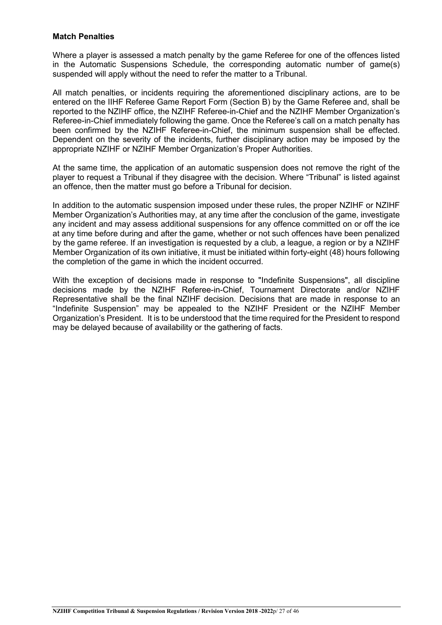#### **Match Penalties**

Where a player is assessed a match penalty by the game Referee for one of the offences listed in the Automatic Suspensions Schedule, the corresponding automatic number of game(s) suspended will apply without the need to refer the matter to a Tribunal.

All match penalties, or incidents requiring the aforementioned disciplinary actions, are to be entered on the IIHF Referee Game Report Form (Section B) by the Game Referee and, shall be reported to the NZIHF office, the NZIHF Referee-in-Chief and the NZIHF Member Organization's Referee-in-Chief immediately following the game. Once the Referee's call on a match penalty has been confirmed by the NZIHF Referee-in-Chief, the minimum suspension shall be effected. Dependent on the severity of the incidents, further disciplinary action may be imposed by the appropriate NZIHF or NZIHF Member Organization's Proper Authorities.

At the same time, the application of an automatic suspension does not remove the right of the player to request a Tribunal if they disagree with the decision. Where "Tribunal" is listed against an offence, then the matter must go before a Tribunal for decision.

In addition to the automatic suspension imposed under these rules, the proper NZIHF or NZIHF Member Organization's Authorities may, at any time after the conclusion of the game, investigate any incident and may assess additional suspensions for any offence committed on or off the ice at any time before during and after the game, whether or not such offences have been penalized by the game referee. If an investigation is requested by a club, a league, a region or by a NZIHF Member Organization of its own initiative, it must be initiated within forty-eight (48) hours following the completion of the game in which the incident occurred.

With the exception of decisions made in response to "Indefinite Suspensions", all discipline decisions made by the NZIHF Referee-in-Chief, Tournament Directorate and/or NZIHF Representative shall be the final NZIHF decision. Decisions that are made in response to an "Indefinite Suspension" may be appealed to the NZIHF President or the NZIHF Member Organization's President. It is to be understood that the time required for the President to respond may be delayed because of availability or the gathering of facts.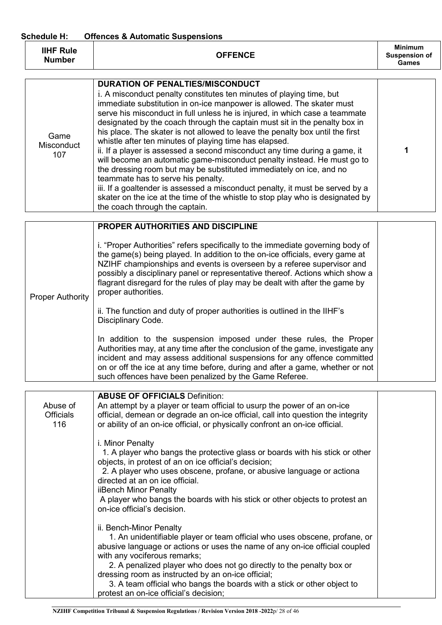#### **Schedule H: Offences & Automatic Suspensions**

| <b>IIHF Rule</b><br><b>Number</b> | <b>OFFENCE</b> | <b>Minimum</b><br><b>Suspension of</b><br>Games |
|-----------------------------------|----------------|-------------------------------------------------|
|                                   |                |                                                 |

| Game<br><b>Misconduct</b><br>107 | <b>DURATION OF PENALTIES/MISCONDUCT</b><br>i. A misconduct penalty constitutes ten minutes of playing time, but<br>immediate substitution in on-ice manpower is allowed. The skater must<br>serve his misconduct in full unless he is injured, in which case a teammate<br>designated by the coach through the captain must sit in the penalty box in<br>his place. The skater is not allowed to leave the penalty box until the first<br>whistle after ten minutes of playing time has elapsed.<br>ii. If a player is assessed a second misconduct any time during a game, it<br>will become an automatic game-misconduct penalty instead. He must go to<br>the dressing room but may be substituted immediately on ice, and no<br>teammate has to serve his penalty.<br>iii. If a goaltender is assessed a misconduct penalty, it must be served by a<br>skater on the ice at the time of the whistle to stop play who is designated by |  |
|----------------------------------|-------------------------------------------------------------------------------------------------------------------------------------------------------------------------------------------------------------------------------------------------------------------------------------------------------------------------------------------------------------------------------------------------------------------------------------------------------------------------------------------------------------------------------------------------------------------------------------------------------------------------------------------------------------------------------------------------------------------------------------------------------------------------------------------------------------------------------------------------------------------------------------------------------------------------------------------|--|
|                                  | the coach through the captain.                                                                                                                                                                                                                                                                                                                                                                                                                                                                                                                                                                                                                                                                                                                                                                                                                                                                                                            |  |

|                         | PROPER AUTHORITIES AND DISCIPLINE                                                                                                                                                                                                                                                                                                                                                                                                |  |
|-------------------------|----------------------------------------------------------------------------------------------------------------------------------------------------------------------------------------------------------------------------------------------------------------------------------------------------------------------------------------------------------------------------------------------------------------------------------|--|
| <b>Proper Authority</b> | i. "Proper Authorities" refers specifically to the immediate governing body of<br>the game(s) being played. In addition to the on-ice officials, every game at<br>NZIHF championships and events is overseen by a referee supervisor and<br>possibly a disciplinary panel or representative thereof. Actions which show a<br>flagrant disregard for the rules of play may be dealt with after the game by<br>proper authorities. |  |
|                         | ii. The function and duty of proper authorities is outlined in the IIHF's<br>Disciplinary Code.                                                                                                                                                                                                                                                                                                                                  |  |
|                         | In addition to the suspension imposed under these rules, the Proper<br>Authorities may, at any time after the conclusion of the game, investigate any<br>incident and may assess additional suspensions for any offence committed<br>on or off the ice at any time before, during and after a game, whether or not<br>such offences have been penalized by the Game Referee.                                                     |  |

| Abuse of<br><b>Officials</b><br>116 | <b>ABUSE OF OFFICIALS Definition:</b><br>An attempt by a player or team official to usurp the power of an on-ice<br>official, demean or degrade an on-ice official, call into question the integrity<br>or ability of an on-ice official, or physically confront an on-ice official.                                                                                                                                                                                    |  |
|-------------------------------------|-------------------------------------------------------------------------------------------------------------------------------------------------------------------------------------------------------------------------------------------------------------------------------------------------------------------------------------------------------------------------------------------------------------------------------------------------------------------------|--|
|                                     | i. Minor Penalty<br>1. A player who bangs the protective glass or boards with his stick or other<br>objects, in protest of an on ice official's decision;<br>2. A player who uses obscene, profane, or abusive language or actiona<br>directed at an on ice official.<br>iiBench Minor Penalty<br>A player who bangs the boards with his stick or other objects to protest an<br>on-ice official's decision.                                                            |  |
|                                     | ii. Bench-Minor Penalty<br>1. An unidentifiable player or team official who uses obscene, profane, or<br>abusive language or actions or uses the name of any on-ice official coupled<br>with any vociferous remarks;<br>2. A penalized player who does not go directly to the penalty box or<br>dressing room as instructed by an on-ice official;<br>3. A team official who bangs the boards with a stick or other object to<br>protest an on-ice official's decision; |  |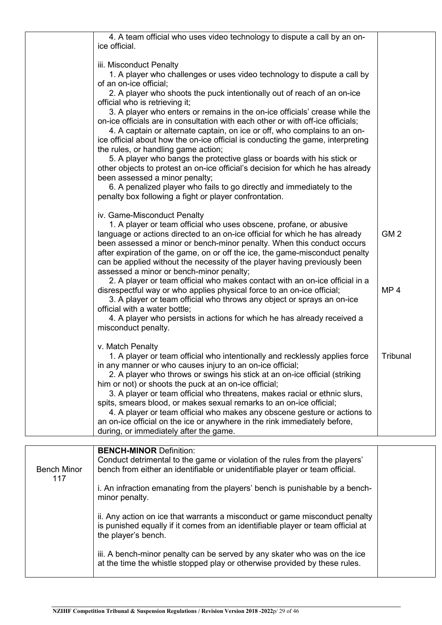| 4. A team official who uses video technology to dispute a call by an on-<br>ice official.                                                                                                                                                                                                                                                                                                                                                                                                                                                                                                                                                                                                                                                                                                                                                                                                   |                                    |
|---------------------------------------------------------------------------------------------------------------------------------------------------------------------------------------------------------------------------------------------------------------------------------------------------------------------------------------------------------------------------------------------------------------------------------------------------------------------------------------------------------------------------------------------------------------------------------------------------------------------------------------------------------------------------------------------------------------------------------------------------------------------------------------------------------------------------------------------------------------------------------------------|------------------------------------|
| iii. Misconduct Penalty<br>1. A player who challenges or uses video technology to dispute a call by<br>of an on-ice official;<br>2. A player who shoots the puck intentionally out of reach of an on-ice<br>official who is retrieving it;<br>3. A player who enters or remains in the on-ice officials' crease while the<br>on-ice officials are in consultation with each other or with off-ice officials;<br>4. A captain or alternate captain, on ice or off, who complains to an on-<br>ice official about how the on-ice official is conducting the game, interpreting<br>the rules, or handling game action;<br>5. A player who bangs the protective glass or boards with his stick or<br>other objects to protest an on-ice official's decision for which he has already<br>been assessed a minor penalty;<br>6. A penalized player who fails to go directly and immediately to the |                                    |
| penalty box following a fight or player confrontation.                                                                                                                                                                                                                                                                                                                                                                                                                                                                                                                                                                                                                                                                                                                                                                                                                                      |                                    |
| iv. Game-Misconduct Penalty<br>1. A player or team official who uses obscene, profane, or abusive<br>language or actions directed to an on-ice official for which he has already<br>been assessed a minor or bench-minor penalty. When this conduct occurs<br>after expiration of the game, on or off the ice, the game-misconduct penalty<br>can be applied without the necessity of the player having previously been<br>assessed a minor or bench-minor penalty;<br>2. A player or team official who makes contact with an on-ice official in a<br>disrespectful way or who applies physical force to an on-ice official;<br>3. A player or team official who throws any object or sprays an on-ice                                                                                                                                                                                      | GM <sub>2</sub><br>MP <sub>4</sub> |
| official with a water bottle;<br>4. A player who persists in actions for which he has already received a<br>misconduct penalty.                                                                                                                                                                                                                                                                                                                                                                                                                                                                                                                                                                                                                                                                                                                                                             |                                    |
| v. Match Penalty<br>1. A player or team official who intentionally and recklessly applies force<br>in any manner or who causes injury to an on-ice official;<br>2. A player who throws or swings his stick at an on-ice official (striking<br>him or not) or shoots the puck at an on-ice official;<br>3. A player or team official who threatens, makes racial or ethnic slurs,<br>spits, smears blood, or makes sexual remarks to an on-ice official;<br>4. A player or team official who makes any obscene gesture or actions to<br>an on-ice official on the ice or anywhere in the rink immediately before,<br>during, or immediately after the game.                                                                                                                                                                                                                                  | Tribunal                           |
| <b>BENCH-MINOR Definition:</b>                                                                                                                                                                                                                                                                                                                                                                                                                                                                                                                                                                                                                                                                                                                                                                                                                                                              |                                    |

|                           | <b>BENCH-MINOR Definition:</b><br>Conduct detrimental to the game or violation of the rules from the players'                                                                         |  |
|---------------------------|---------------------------------------------------------------------------------------------------------------------------------------------------------------------------------------|--|
| <b>Bench Minor</b><br>117 | bench from either an identifiable or unidentifiable player or team official.                                                                                                          |  |
|                           | i. An infraction emanating from the players' bench is punishable by a bench-<br>minor penalty.                                                                                        |  |
|                           | ii. Any action on ice that warrants a misconduct or game misconduct penalty<br>is punished equally if it comes from an identifiable player or team official at<br>the player's bench. |  |
|                           | iii. A bench-minor penalty can be served by any skater who was on the ice<br>at the time the whistle stopped play or otherwise provided by these rules.                               |  |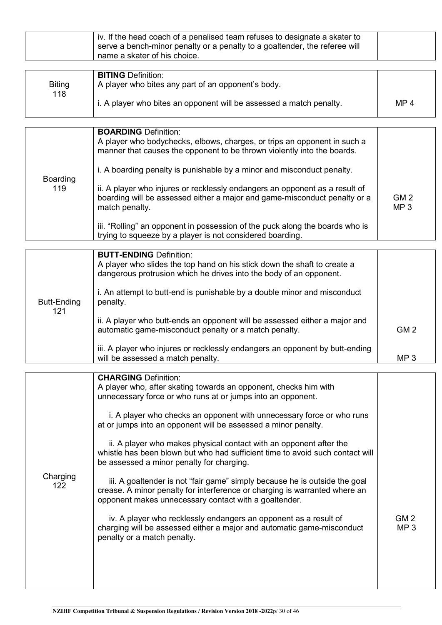| iv. If the head coach of a penalised team refuses to designate a skater to<br>serve a bench-minor penalty or a penalty to a goaltender, the referee will<br>name a skater of his choice. |
|------------------------------------------------------------------------------------------------------------------------------------------------------------------------------------------|
|------------------------------------------------------------------------------------------------------------------------------------------------------------------------------------------|

|               | <b>BITING Definition:</b>                                           |                 |
|---------------|---------------------------------------------------------------------|-----------------|
| <b>Biting</b> | A player who bites any part of an opponent's body.                  |                 |
| 118           |                                                                     |                 |
|               | i. A player who bites an opponent will be assessed a match penalty. | MP <sub>4</sub> |
|               |                                                                     |                 |

| Boarding<br>119 | <b>BOARDING Definition:</b><br>A player who bodychecks, elbows, charges, or trips an opponent in such a<br>manner that causes the opponent to be thrown violently into the boards.<br>i. A boarding penalty is punishable by a minor and misconduct penalty.<br>ii. A player who injures or recklessly endangers an opponent as a result of<br>boarding will be assessed either a major and game-misconduct penalty or a<br>match penalty.<br>iii. "Rolling" an opponent in possession of the puck along the boards who is<br>trying to squeeze by a player is not considered boarding. | GM <sub>2</sub><br>MP <sub>3</sub> |
|-----------------|-----------------------------------------------------------------------------------------------------------------------------------------------------------------------------------------------------------------------------------------------------------------------------------------------------------------------------------------------------------------------------------------------------------------------------------------------------------------------------------------------------------------------------------------------------------------------------------------|------------------------------------|
|-----------------|-----------------------------------------------------------------------------------------------------------------------------------------------------------------------------------------------------------------------------------------------------------------------------------------------------------------------------------------------------------------------------------------------------------------------------------------------------------------------------------------------------------------------------------------------------------------------------------------|------------------------------------|

|                    | <b>BUTT-ENDING Definition:</b><br>A player who slides the top hand on his stick down the shaft to create a                                     |                 |
|--------------------|------------------------------------------------------------------------------------------------------------------------------------------------|-----------------|
|                    | dangerous protrusion which he drives into the body of an opponent.<br>i. An attempt to butt-end is punishable by a double minor and misconduct |                 |
| Butt-Ending<br>121 | penalty.                                                                                                                                       |                 |
|                    | ii. A player who butt-ends an opponent will be assessed either a major and<br>automatic game-misconduct penalty or a match penalty.            | GM <sub>2</sub> |
|                    | iii. A player who injures or recklessly endangers an opponent by butt-ending<br>will be assessed a match penalty.                              | MP <sub>3</sub> |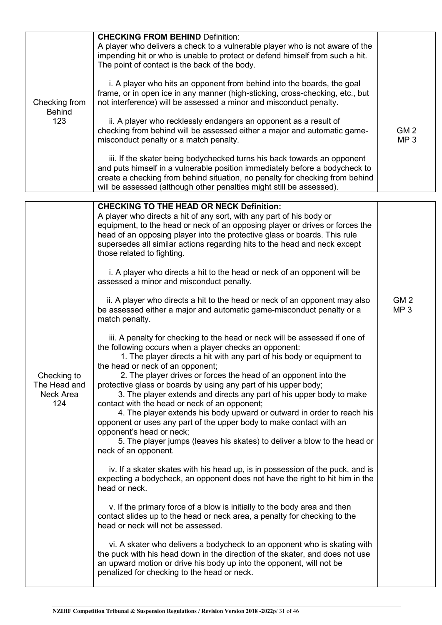| Checking from<br><b>Behind</b><br>123           | <b>CHECKING FROM BEHIND Definition:</b><br>A player who delivers a check to a vulnerable player who is not aware of the<br>impending hit or who is unable to protect or defend himself from such a hit.<br>The point of contact is the back of the body.<br>i. A player who hits an opponent from behind into the boards, the goal<br>frame, or in open ice in any manner (high-sticking, cross-checking, etc., but<br>not interference) will be assessed a minor and misconduct penalty.<br>ii. A player who recklessly endangers an opponent as a result of<br>checking from behind will be assessed either a major and automatic game-<br>misconduct penalty or a match penalty.<br>iii. If the skater being bodychecked turns his back towards an opponent<br>and puts himself in a vulnerable position immediately before a bodycheck to<br>create a checking from behind situation, no penalty for checking from behind<br>will be assessed (although other penalties might still be assessed).                                                                                                                                                                                                                                                                                                                                                                                                                                                                                                                                                                                                                                                                                                                                                                                                                                                                                                                                                                                                                                                                                                                      | GM <sub>2</sub><br>MP <sub>3</sub> |
|-------------------------------------------------|----------------------------------------------------------------------------------------------------------------------------------------------------------------------------------------------------------------------------------------------------------------------------------------------------------------------------------------------------------------------------------------------------------------------------------------------------------------------------------------------------------------------------------------------------------------------------------------------------------------------------------------------------------------------------------------------------------------------------------------------------------------------------------------------------------------------------------------------------------------------------------------------------------------------------------------------------------------------------------------------------------------------------------------------------------------------------------------------------------------------------------------------------------------------------------------------------------------------------------------------------------------------------------------------------------------------------------------------------------------------------------------------------------------------------------------------------------------------------------------------------------------------------------------------------------------------------------------------------------------------------------------------------------------------------------------------------------------------------------------------------------------------------------------------------------------------------------------------------------------------------------------------------------------------------------------------------------------------------------------------------------------------------------------------------------------------------------------------------------------------------|------------------------------------|
| Checking to<br>The Head and<br>Neck Area<br>124 | <b>CHECKING TO THE HEAD OR NECK Definition:</b><br>A player who directs a hit of any sort, with any part of his body or<br>equipment, to the head or neck of an opposing player or drives or forces the<br>head of an opposing player into the protective glass or boards. This rule<br>supersedes all similar actions regarding hits to the head and neck except<br>those related to fighting.<br>i. A player who directs a hit to the head or neck of an opponent will be<br>assessed a minor and misconduct penalty.<br>ii. A player who directs a hit to the head or neck of an opponent may also<br>be assessed either a major and automatic game-misconduct penalty or a<br>match penalty.<br>iii. A penalty for checking to the head or neck will be assessed if one of<br>the following occurs when a player checks an opponent:<br>1. The player directs a hit with any part of his body or equipment to<br>the head or neck of an opponent;<br>2. The player drives or forces the head of an opponent into the<br>protective glass or boards by using any part of his upper body;<br>3. The player extends and directs any part of his upper body to make<br>contact with the head or neck of an opponent;<br>4. The player extends his body upward or outward in order to reach his<br>opponent or uses any part of the upper body to make contact with an<br>opponent's head or neck;<br>5. The player jumps (leaves his skates) to deliver a blow to the head or<br>neck of an opponent.<br>iv. If a skater skates with his head up, is in possession of the puck, and is<br>expecting a bodycheck, an opponent does not have the right to hit him in the<br>head or neck.<br>v. If the primary force of a blow is initially to the body area and then<br>contact slides up to the head or neck area, a penalty for checking to the<br>head or neck will not be assessed.<br>vi. A skater who delivers a bodycheck to an opponent who is skating with<br>the puck with his head down in the direction of the skater, and does not use<br>an upward motion or drive his body up into the opponent, will not be | GM <sub>2</sub><br>MP <sub>3</sub> |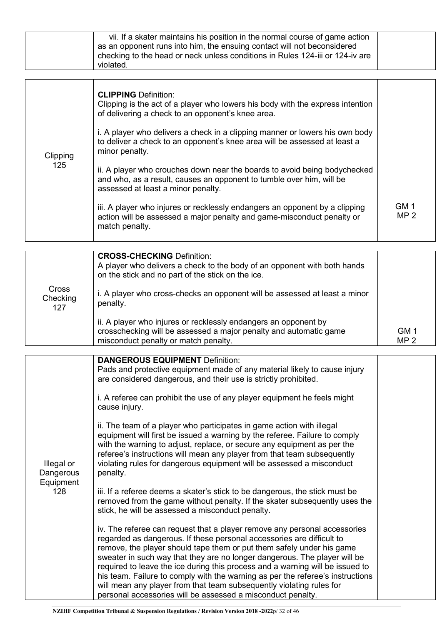|                 | vii. If a skater maintains his position in the normal course of game action<br>as an opponent runs into him, the ensuing contact will not beconsidered<br>checking to the head or neck unless conditions in Rules 124-iii or 124-iv are<br>violated.                                                                                                                                                                                                                                                                                         |                 |
|-----------------|----------------------------------------------------------------------------------------------------------------------------------------------------------------------------------------------------------------------------------------------------------------------------------------------------------------------------------------------------------------------------------------------------------------------------------------------------------------------------------------------------------------------------------------------|-----------------|
| Clipping<br>125 | <b>CLIPPING Definition:</b><br>Clipping is the act of a player who lowers his body with the express intention<br>of delivering a check to an opponent's knee area.<br>i. A player who delivers a check in a clipping manner or lowers his own body<br>to deliver a check to an opponent's knee area will be assessed at least a<br>minor penalty.<br>ii. A player who crouches down near the boards to avoid being bodychecked<br>and who, as a result, causes an opponent to tumble over him, will be<br>assessed at least a minor penalty. | GM 1            |
|                 | iii. A player who injures or recklessly endangers an opponent by a clipping<br>action will be assessed a major penalty and game-misconduct penalty or                                                                                                                                                                                                                                                                                                                                                                                        | MP <sub>2</sub> |

|                                 | <b>CROSS-CHECKING Definition:</b><br>A player who delivers a check to the body of an opponent with both hands<br>on the stick and no part of the stick on the ice.           |                         |
|---------------------------------|------------------------------------------------------------------------------------------------------------------------------------------------------------------------------|-------------------------|
| <b>Cross</b><br>Checking<br>127 | i. A player who cross-checks an opponent will be assessed at least a minor<br>penalty.                                                                                       |                         |
|                                 | ii. A player who injures or recklessly endangers an opponent by<br>crosschecking will be assessed a major penalty and automatic game<br>misconduct penalty or match penalty. | GM 1<br>MP <sub>2</sub> |

match penalty.

|                                             | <b>DANGEROUS EQUIPMENT Definition:</b><br>Pads and protective equipment made of any material likely to cause injury<br>are considered dangerous, and their use is strictly prohibited.<br>i. A referee can prohibit the use of any player equipment he feels might<br>cause injury.<br>ii. The team of a player who participates in game action with illegal<br>equipment will first be issued a warning by the referee. Failure to comply                                  |  |
|---------------------------------------------|-----------------------------------------------------------------------------------------------------------------------------------------------------------------------------------------------------------------------------------------------------------------------------------------------------------------------------------------------------------------------------------------------------------------------------------------------------------------------------|--|
| Illegal or<br>Dangerous<br>Equipment<br>128 | with the warning to adjust, replace, or secure any equipment as per the<br>referee's instructions will mean any player from that team subsequently<br>violating rules for dangerous equipment will be assessed a misconduct<br>penalty.                                                                                                                                                                                                                                     |  |
|                                             | iii. If a referee deems a skater's stick to be dangerous, the stick must be<br>removed from the game without penalty. If the skater subsequently uses the<br>stick, he will be assessed a misconduct penalty.                                                                                                                                                                                                                                                               |  |
|                                             | iv. The referee can request that a player remove any personal accessories<br>regarded as dangerous. If these personal accessories are difficult to<br>remove, the player should tape them or put them safely under his game<br>sweater in such way that they are no longer dangerous. The player will be<br>required to leave the ice during this process and a warning will be issued to<br>his team. Failure to comply with the warning as per the referee's instructions |  |
|                                             | will mean any player from that team subsequently violating rules for<br>personal accessories will be assessed a misconduct penalty.                                                                                                                                                                                                                                                                                                                                         |  |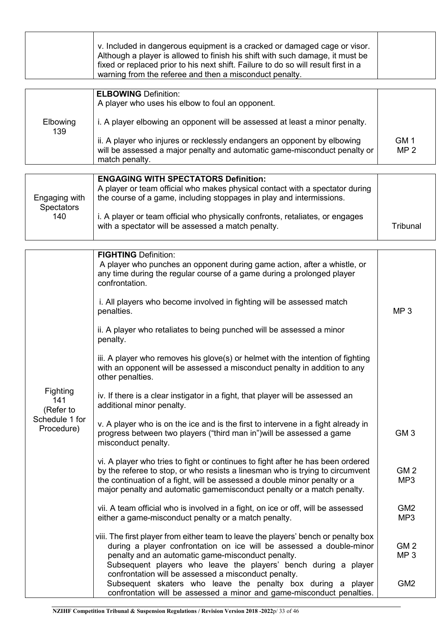|                                     | v. Included in dangerous equipment is a cracked or damaged cage or visor.<br>Although a player is allowed to finish his shift with such damage, it must be<br>fixed or replaced prior to his next shift. Failure to do so will result first in a<br>warning from the referee and then a misconduct penalty.             |                                    |
|-------------------------------------|-------------------------------------------------------------------------------------------------------------------------------------------------------------------------------------------------------------------------------------------------------------------------------------------------------------------------|------------------------------------|
|                                     | <b>ELBOWING Definition:</b><br>A player who uses his elbow to foul an opponent.                                                                                                                                                                                                                                         |                                    |
| Elbowing<br>139                     | i. A player elbowing an opponent will be assessed at least a minor penalty.                                                                                                                                                                                                                                             |                                    |
|                                     | ii. A player who injures or recklessly endangers an opponent by elbowing<br>will be assessed a major penalty and automatic game-misconduct penalty or<br>match penalty.                                                                                                                                                 | GM <sub>1</sub><br>MP <sub>2</sub> |
|                                     |                                                                                                                                                                                                                                                                                                                         |                                    |
| Engaging with<br><b>Spectators</b>  | <b>ENGAGING WITH SPECTATORS Definition:</b><br>A player or team official who makes physical contact with a spectator during<br>the course of a game, including stoppages in play and intermissions.                                                                                                                     |                                    |
| 140                                 | i. A player or team official who physically confronts, retaliates, or engages<br>with a spectator will be assessed a match penalty.                                                                                                                                                                                     | Tribunal                           |
|                                     |                                                                                                                                                                                                                                                                                                                         |                                    |
|                                     | <b>FIGHTING Definition:</b><br>A player who punches an opponent during game action, after a whistle, or<br>any time during the regular course of a game during a prolonged player<br>confrontation.                                                                                                                     |                                    |
|                                     | i. All players who become involved in fighting will be assessed match<br>penalties.                                                                                                                                                                                                                                     | MP <sub>3</sub>                    |
|                                     | ii. A player who retaliates to being punched will be assessed a minor<br>penalty.                                                                                                                                                                                                                                       |                                    |
|                                     | iii. A player who removes his glove(s) or helmet with the intention of fighting<br>with an opponent will be assessed a misconduct penalty in addition to any<br>other penalties.                                                                                                                                        |                                    |
| <b>Fighting</b><br>141<br>(Refer to | iv. If there is a clear instigator in a fight, that player will be assessed an<br>additional minor penalty.                                                                                                                                                                                                             |                                    |
| Schedule 1 for<br>Procedure)        | v. A player who is on the ice and is the first to intervene in a fight already in<br>progress between two players ("third man in") will be assessed a game<br>misconduct penalty.                                                                                                                                       | GM <sub>3</sub>                    |
|                                     | vi. A player who tries to fight or continues to fight after he has been ordered<br>by the referee to stop, or who resists a linesman who is trying to circumvent<br>the continuation of a fight, will be assessed a double minor penalty or a<br>major penalty and automatic gamemisconduct penalty or a match penalty. | GM <sub>2</sub><br>MP <sub>3</sub> |
|                                     | vii. A team official who is involved in a fight, on ice or off, will be assessed<br>either a game-misconduct penalty or a match penalty.                                                                                                                                                                                | GM <sub>2</sub><br>MP <sub>3</sub> |
|                                     | viii. The first player from either team to leave the players' bench or penalty box<br>during a player confrontation on ice will be assessed a double-minor<br>penalty and an automatic game-misconduct penalty.<br>Subsequent players who leave the players' bench during a player                                      | GM <sub>2</sub><br>MP <sub>3</sub> |

Г

confrontation will be assessed a misconduct penalty.

 Subsequent skaters who leave the penalty box during a player confrontation will be assessed a minor and game-misconduct penalties.

GM2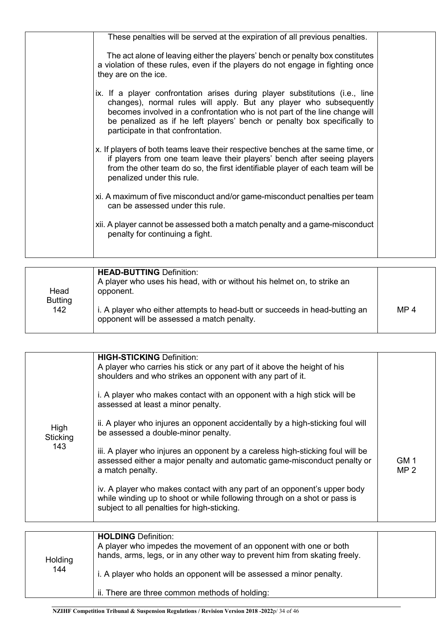| These penalties will be served at the expiration of all previous penalties.                                                                                                                                                                                                                                                                         |  |
|-----------------------------------------------------------------------------------------------------------------------------------------------------------------------------------------------------------------------------------------------------------------------------------------------------------------------------------------------------|--|
| The act alone of leaving either the players' bench or penalty box constitutes<br>a violation of these rules, even if the players do not engage in fighting once<br>they are on the ice.                                                                                                                                                             |  |
| ix. If a player confrontation arises during player substitutions (i.e., line<br>changes), normal rules will apply. But any player who subsequently<br>becomes involved in a confrontation who is not part of the line change will<br>be penalized as if he left players' bench or penalty box specifically to<br>participate in that confrontation. |  |
| x. If players of both teams leave their respective benches at the same time, or<br>if players from one team leave their players' bench after seeing players<br>from the other team do so, the first identifiable player of each team will be<br>penalized under this rule.                                                                          |  |
| xi. A maximum of five misconduct and/or game-misconduct penalties per team<br>can be assessed under this rule.                                                                                                                                                                                                                                      |  |
| xii. A player cannot be assessed both a match penalty and a game-misconduct<br>penalty for continuing a fight.                                                                                                                                                                                                                                      |  |
|                                                                                                                                                                                                                                                                                                                                                     |  |

| Head                  | <b>HEAD-BUTTING Definition:</b><br>A player who uses his head, with or without his helmet on, to strike an<br>opponent.   |                 |
|-----------------------|---------------------------------------------------------------------------------------------------------------------------|-----------------|
| <b>Butting</b><br>142 | i. A player who either attempts to head-butt or succeeds in head-butting an<br>opponent will be assessed a match penalty. | MP <sub>4</sub> |

| High<br>Sticking<br>143 | <b>HIGH-STICKING Definition:</b><br>A player who carries his stick or any part of it above the height of his<br>shoulders and who strikes an opponent with any part of it.<br>i. A player who makes contact with an opponent with a high stick will be<br>assessed at least a minor penalty.<br>ii. A player who injures an opponent accidentally by a high-sticking foul will<br>be assessed a double-minor penalty.<br>iii. A player who injures an opponent by a careless high-sticking foul will be<br>assessed either a major penalty and automatic game-misconduct penalty or<br>a match penalty.<br>iv. A player who makes contact with any part of an opponent's upper body<br>while winding up to shoot or while following through on a shot or pass is<br>subject to all penalties for high-sticking. | GM <sub>1</sub><br>MP <sub>2</sub> |
|-------------------------|-----------------------------------------------------------------------------------------------------------------------------------------------------------------------------------------------------------------------------------------------------------------------------------------------------------------------------------------------------------------------------------------------------------------------------------------------------------------------------------------------------------------------------------------------------------------------------------------------------------------------------------------------------------------------------------------------------------------------------------------------------------------------------------------------------------------|------------------------------------|
| Holding<br>144          | <b>HOLDING Definition:</b><br>A player who impedes the movement of an opponent with one or both<br>hands, arms, legs, or in any other way to prevent him from skating freely.<br>i. A player who holds an opponent will be assessed a minor penalty.                                                                                                                                                                                                                                                                                                                                                                                                                                                                                                                                                            |                                    |

ii. There are three common methods of holding: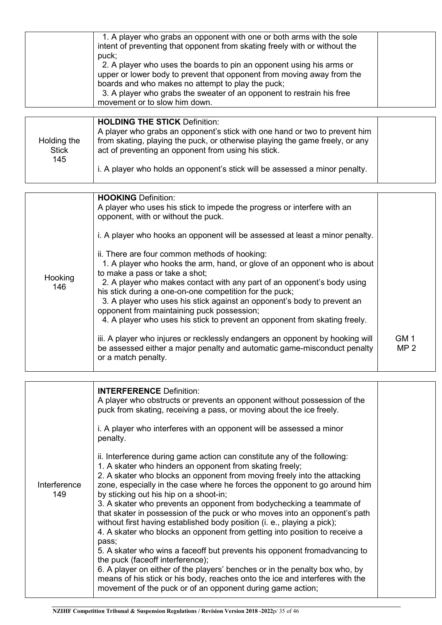| 1. A player who grabs an opponent with one or both arms with the sole<br>intent of preventing that opponent from skating freely with or without the<br>puck;<br>2. A player who uses the boards to pin an opponent using his arms or<br>upper or lower body to prevent that opponent from moving away from the<br>boards and who makes no attempt to play the puck;<br>3. A player who grabs the sweater of an opponent to restrain his free<br>movement or to slow him down.<br><b>HOLDING THE STICK Definition:</b><br>A player who grabs an opponent's stick with one hand or two to prevent him |  |
|-----------------------------------------------------------------------------------------------------------------------------------------------------------------------------------------------------------------------------------------------------------------------------------------------------------------------------------------------------------------------------------------------------------------------------------------------------------------------------------------------------------------------------------------------------------------------------------------------------|--|
|                                                                                                                                                                                                                                                                                                                                                                                                                                                                                                                                                                                                     |  |
| from skating, playing the puck, or otherwise playing the game freely, or any<br>Holding the<br>act of preventing an opponent from using his stick.<br><b>Stick</b><br>145<br>i. A player who holds an opponent's stick will be assessed a minor penalty.                                                                                                                                                                                                                                                                                                                                            |  |

|                | <b>HOOKING Definition:</b><br>A player who uses his stick to impede the progress or interfere with an<br>opponent, with or without the puck.<br>i. A player who hooks an opponent will be assessed at least a minor penalty.                                                                                                                                                                                                                                                                              |                         |
|----------------|-----------------------------------------------------------------------------------------------------------------------------------------------------------------------------------------------------------------------------------------------------------------------------------------------------------------------------------------------------------------------------------------------------------------------------------------------------------------------------------------------------------|-------------------------|
| Hooking<br>146 | ii. There are four common methods of hooking:<br>1. A player who hooks the arm, hand, or glove of an opponent who is about<br>to make a pass or take a shot;<br>2. A player who makes contact with any part of an opponent's body using<br>his stick during a one-on-one competition for the puck;<br>3. A player who uses his stick against an opponent's body to prevent an<br>opponent from maintaining puck possession;<br>4. A player who uses his stick to prevent an opponent from skating freely. |                         |
|                | iii. A player who injures or recklessly endangers an opponent by hooking will<br>be assessed either a major penalty and automatic game-misconduct penalty<br>or a match penalty.                                                                                                                                                                                                                                                                                                                          | GM 1<br>MP <sub>2</sub> |

| Interference | <b>INTERFERENCE Definition:</b><br>A player who obstructs or prevents an opponent without possession of the<br>puck from skating, receiving a pass, or moving about the ice freely.<br>i. A player who interferes with an opponent will be assessed a minor<br>penalty.<br>ii. Interference during game action can constitute any of the following:<br>1. A skater who hinders an opponent from skating freely;<br>2. A skater who blocks an opponent from moving freely into the attacking<br>zone, especially in the case where he forces the opponent to go around him                                                                                                                                    |  |
|--------------|--------------------------------------------------------------------------------------------------------------------------------------------------------------------------------------------------------------------------------------------------------------------------------------------------------------------------------------------------------------------------------------------------------------------------------------------------------------------------------------------------------------------------------------------------------------------------------------------------------------------------------------------------------------------------------------------------------------|--|
| 149          | by sticking out his hip on a shoot-in;<br>3. A skater who prevents an opponent from bodychecking a teammate of<br>that skater in possession of the puck or who moves into an opponent's path<br>without first having established body position (i. e., playing a pick);<br>4. A skater who blocks an opponent from getting into position to receive a<br>pass;<br>5. A skater who wins a faceoff but prevents his opponent fromadvancing to<br>the puck (faceoff interference);<br>6. A player on either of the players' benches or in the penalty box who, by<br>means of his stick or his body, reaches onto the ice and interferes with the<br>movement of the puck or of an opponent during game action; |  |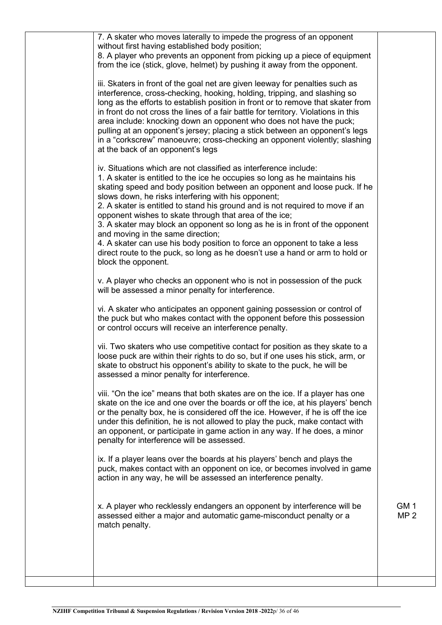| 7. A skater who moves laterally to impede the progress of an opponent<br>without first having established body position;<br>8. A player who prevents an opponent from picking up a piece of equipment<br>from the ice (stick, glove, helmet) by pushing it away from the opponent.<br>iii. Skaters in front of the goal net are given leeway for penalties such as<br>interference, cross-checking, hooking, holding, tripping, and slashing so<br>long as the efforts to establish position in front or to remove that skater from<br>in front do not cross the lines of a fair battle for territory. Violations in this<br>area include: knocking down an opponent who does not have the puck;<br>pulling at an opponent's jersey; placing a stick between an opponent's legs<br>in a "corkscrew" manoeuvre; cross-checking an opponent violently; slashing<br>at the back of an opponent's legs<br>iv. Situations which are not classified as interference include:<br>1. A skater is entitled to the ice he occupies so long as he maintains his<br>skating speed and body position between an opponent and loose puck. If he<br>slows down, he risks interfering with his opponent;<br>2. A skater is entitled to stand his ground and is not required to move if an<br>opponent wishes to skate through that area of the ice;<br>3. A skater may block an opponent so long as he is in front of the opponent<br>and moving in the same direction;<br>4. A skater can use his body position to force an opponent to take a less<br>direct route to the puck, so long as he doesn't use a hand or arm to hold or<br>block the opponent.<br>v. A player who checks an opponent who is not in possession of the puck<br>will be assessed a minor penalty for interference. |                                    |
|------------------------------------------------------------------------------------------------------------------------------------------------------------------------------------------------------------------------------------------------------------------------------------------------------------------------------------------------------------------------------------------------------------------------------------------------------------------------------------------------------------------------------------------------------------------------------------------------------------------------------------------------------------------------------------------------------------------------------------------------------------------------------------------------------------------------------------------------------------------------------------------------------------------------------------------------------------------------------------------------------------------------------------------------------------------------------------------------------------------------------------------------------------------------------------------------------------------------------------------------------------------------------------------------------------------------------------------------------------------------------------------------------------------------------------------------------------------------------------------------------------------------------------------------------------------------------------------------------------------------------------------------------------------------------------------------------------------------------------------------------------------------------|------------------------------------|
|                                                                                                                                                                                                                                                                                                                                                                                                                                                                                                                                                                                                                                                                                                                                                                                                                                                                                                                                                                                                                                                                                                                                                                                                                                                                                                                                                                                                                                                                                                                                                                                                                                                                                                                                                                              |                                    |
|                                                                                                                                                                                                                                                                                                                                                                                                                                                                                                                                                                                                                                                                                                                                                                                                                                                                                                                                                                                                                                                                                                                                                                                                                                                                                                                                                                                                                                                                                                                                                                                                                                                                                                                                                                              |                                    |
|                                                                                                                                                                                                                                                                                                                                                                                                                                                                                                                                                                                                                                                                                                                                                                                                                                                                                                                                                                                                                                                                                                                                                                                                                                                                                                                                                                                                                                                                                                                                                                                                                                                                                                                                                                              |                                    |
|                                                                                                                                                                                                                                                                                                                                                                                                                                                                                                                                                                                                                                                                                                                                                                                                                                                                                                                                                                                                                                                                                                                                                                                                                                                                                                                                                                                                                                                                                                                                                                                                                                                                                                                                                                              |                                    |
| vi. A skater who anticipates an opponent gaining possession or control of<br>the puck but who makes contact with the opponent before this possession<br>or control occurs will receive an interference penalty.                                                                                                                                                                                                                                                                                                                                                                                                                                                                                                                                                                                                                                                                                                                                                                                                                                                                                                                                                                                                                                                                                                                                                                                                                                                                                                                                                                                                                                                                                                                                                              |                                    |
| vii. Two skaters who use competitive contact for position as they skate to a<br>loose puck are within their rights to do so, but if one uses his stick, arm, or<br>skate to obstruct his opponent's ability to skate to the puck, he will be<br>assessed a minor penalty for interference.                                                                                                                                                                                                                                                                                                                                                                                                                                                                                                                                                                                                                                                                                                                                                                                                                                                                                                                                                                                                                                                                                                                                                                                                                                                                                                                                                                                                                                                                                   |                                    |
| viii. "On the ice" means that both skates are on the ice. If a player has one<br>skate on the ice and one over the boards or off the ice, at his players' bench<br>or the penalty box, he is considered off the ice. However, if he is off the ice<br>under this definition, he is not allowed to play the puck, make contact with<br>an opponent, or participate in game action in any way. If he does, a minor<br>penalty for interference will be assessed.                                                                                                                                                                                                                                                                                                                                                                                                                                                                                                                                                                                                                                                                                                                                                                                                                                                                                                                                                                                                                                                                                                                                                                                                                                                                                                               |                                    |
| ix. If a player leans over the boards at his players' bench and plays the<br>puck, makes contact with an opponent on ice, or becomes involved in game<br>action in any way, he will be assessed an interference penalty.                                                                                                                                                                                                                                                                                                                                                                                                                                                                                                                                                                                                                                                                                                                                                                                                                                                                                                                                                                                                                                                                                                                                                                                                                                                                                                                                                                                                                                                                                                                                                     |                                    |
| x. A player who recklessly endangers an opponent by interference will be<br>assessed either a major and automatic game-misconduct penalty or a<br>match penalty.                                                                                                                                                                                                                                                                                                                                                                                                                                                                                                                                                                                                                                                                                                                                                                                                                                                                                                                                                                                                                                                                                                                                                                                                                                                                                                                                                                                                                                                                                                                                                                                                             | GM <sub>1</sub><br>MP <sub>2</sub> |
|                                                                                                                                                                                                                                                                                                                                                                                                                                                                                                                                                                                                                                                                                                                                                                                                                                                                                                                                                                                                                                                                                                                                                                                                                                                                                                                                                                                                                                                                                                                                                                                                                                                                                                                                                                              |                                    |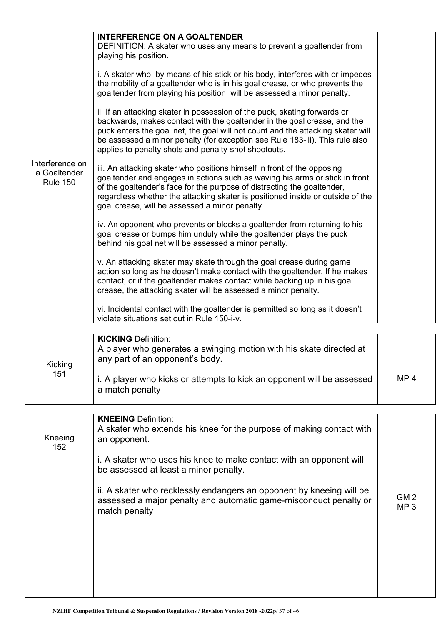|                                                    | <b>INTERFERENCE ON A GOALTENDER</b><br>DEFINITION: A skater who uses any means to prevent a goaltender from<br>playing his position.                                                                                                                                                                                                                                             |                 |
|----------------------------------------------------|----------------------------------------------------------------------------------------------------------------------------------------------------------------------------------------------------------------------------------------------------------------------------------------------------------------------------------------------------------------------------------|-----------------|
|                                                    | i. A skater who, by means of his stick or his body, interferes with or impedes<br>the mobility of a goaltender who is in his goal crease, or who prevents the<br>goaltender from playing his position, will be assessed a minor penalty.                                                                                                                                         |                 |
|                                                    | ii. If an attacking skater in possession of the puck, skating forwards or<br>backwards, makes contact with the goaltender in the goal crease, and the<br>puck enters the goal net, the goal will not count and the attacking skater will<br>be assessed a minor penalty (for exception see Rule 183-iii). This rule also<br>applies to penalty shots and penalty-shot shootouts. |                 |
| Interference on<br>a Goaltender<br><b>Rule 150</b> | iii. An attacking skater who positions himself in front of the opposing<br>goaltender and engages in actions such as waving his arms or stick in front<br>of the goaltender's face for the purpose of distracting the goaltender,<br>regardless whether the attacking skater is positioned inside or outside of the<br>goal crease, will be assessed a minor penalty.            |                 |
|                                                    | iv. An opponent who prevents or blocks a goaltender from returning to his<br>goal crease or bumps him unduly while the goaltender plays the puck<br>behind his goal net will be assessed a minor penalty.                                                                                                                                                                        |                 |
|                                                    | v. An attacking skater may skate through the goal crease during game<br>action so long as he doesn't make contact with the goaltender. If he makes<br>contact, or if the goaltender makes contact while backing up in his goal<br>crease, the attacking skater will be assessed a minor penalty.                                                                                 |                 |
|                                                    | vi. Incidental contact with the goaltender is permitted so long as it doesn't<br>violate situations set out in Rule 150-i-v.                                                                                                                                                                                                                                                     |                 |
|                                                    |                                                                                                                                                                                                                                                                                                                                                                                  |                 |
| Kicking                                            | <b>KICKING Definition:</b><br>A player who generates a swinging motion with his skate directed at<br>any part of an opponent's body.                                                                                                                                                                                                                                             |                 |
| 151                                                | i. A player who kicks or attempts to kick an opponent will be assessed<br>a match penalty                                                                                                                                                                                                                                                                                        | MP <sub>4</sub> |
|                                                    |                                                                                                                                                                                                                                                                                                                                                                                  |                 |

| Kneeing<br>152 | <b>KNEEING</b> Definition:<br>A skater who extends his knee for the purpose of making contact with<br>an opponent.                                         |                                    |
|----------------|------------------------------------------------------------------------------------------------------------------------------------------------------------|------------------------------------|
|                | i. A skater who uses his knee to make contact with an opponent will<br>be assessed at least a minor penalty.                                               |                                    |
|                | ii. A skater who recklessly endangers an opponent by kneeing will be<br>assessed a major penalty and automatic game-misconduct penalty or<br>match penalty | GM <sub>2</sub><br>MP <sub>3</sub> |
|                |                                                                                                                                                            |                                    |
|                |                                                                                                                                                            |                                    |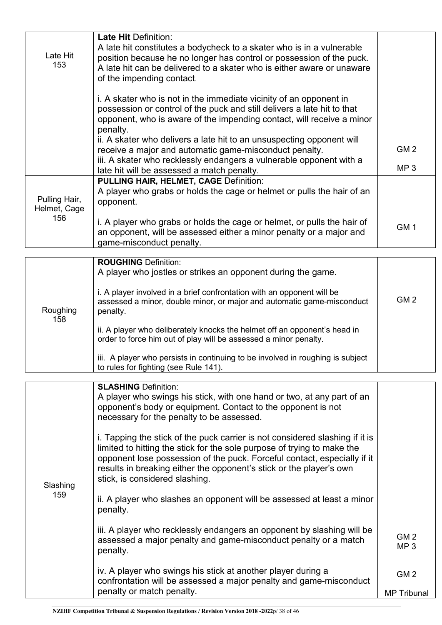| Late Hit<br>153               | <b>Late Hit Definition:</b><br>A late hit constitutes a bodycheck to a skater who is in a vulnerable<br>position because he no longer has control or possession of the puck.<br>A late hit can be delivered to a skater who is either aware or unaware<br>of the impending contact. |                 |
|-------------------------------|-------------------------------------------------------------------------------------------------------------------------------------------------------------------------------------------------------------------------------------------------------------------------------------|-----------------|
|                               | i. A skater who is not in the immediate vicinity of an opponent in<br>possession or control of the puck and still delivers a late hit to that<br>opponent, who is aware of the impending contact, will receive a minor<br>penalty.                                                  |                 |
|                               | ii. A skater who delivers a late hit to an unsuspecting opponent will<br>receive a major and automatic game-misconduct penalty.                                                                                                                                                     | GM <sub>2</sub> |
|                               | iii. A skater who recklessly endangers a vulnerable opponent with a<br>late hit will be assessed a match penalty.                                                                                                                                                                   | MP <sub>3</sub> |
| Pulling Hair,<br>Helmet, Cage | <b>PULLING HAIR, HELMET, CAGE Definition:</b><br>A player who grabs or holds the cage or helmet or pulls the hair of an<br>opponent.                                                                                                                                                |                 |
| 156                           | i. A player who grabs or holds the cage or helmet, or pulls the hair of<br>an opponent, will be assessed either a minor penalty or a major and<br>game-misconduct penalty.                                                                                                          | GM <sub>1</sub> |

|                 | <b>ROUGHING Definition:</b><br>A player who jostles or strikes an opponent during the game.                                                                  |                 |
|-----------------|--------------------------------------------------------------------------------------------------------------------------------------------------------------|-----------------|
| Roughing<br>158 | i. A player involved in a brief confrontation with an opponent will be<br>assessed a minor, double minor, or major and automatic game-misconduct<br>penalty. | GM <sub>2</sub> |
|                 | ii. A player who deliberately knocks the helmet off an opponent's head in<br>order to force him out of play will be assessed a minor penalty.                |                 |
|                 | iii. A player who persists in continuing to be involved in roughing is subject<br>to rules for fighting (see Rule 141).                                      |                 |

|                 | <b>SLASHING Definition:</b><br>A player who swings his stick, with one hand or two, at any part of an                                                                                                                                                                                                                                        |                                    |
|-----------------|----------------------------------------------------------------------------------------------------------------------------------------------------------------------------------------------------------------------------------------------------------------------------------------------------------------------------------------------|------------------------------------|
| Slashing<br>159 | opponent's body or equipment. Contact to the opponent is not<br>necessary for the penalty to be assessed.                                                                                                                                                                                                                                    |                                    |
|                 | i. Tapping the stick of the puck carrier is not considered slashing if it is<br>limited to hitting the stick for the sole purpose of trying to make the<br>opponent lose possession of the puck. Forceful contact, especially if it<br>results in breaking either the opponent's stick or the player's own<br>stick, is considered slashing. |                                    |
|                 | ii. A player who slashes an opponent will be assessed at least a minor<br>penalty.                                                                                                                                                                                                                                                           |                                    |
|                 | iii. A player who recklessly endangers an opponent by slashing will be<br>assessed a major penalty and game-misconduct penalty or a match<br>penalty.                                                                                                                                                                                        | GM <sub>2</sub><br>MP <sub>3</sub> |
|                 | iv. A player who swings his stick at another player during a<br>confrontation will be assessed a major penalty and game-misconduct                                                                                                                                                                                                           | GM <sub>2</sub>                    |
|                 | penalty or match penalty.                                                                                                                                                                                                                                                                                                                    | <b>MP</b> Tribunal                 |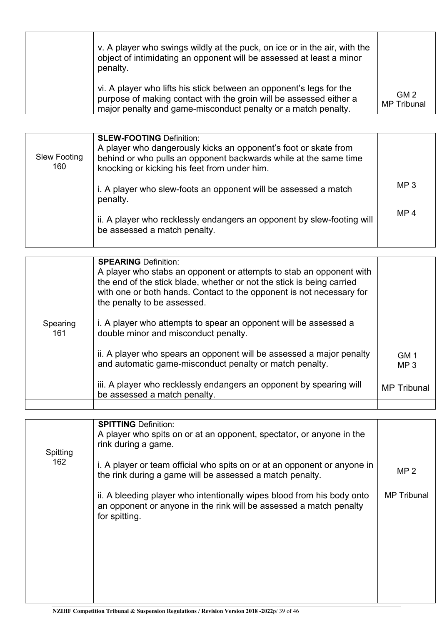| v. A player who swings wildly at the puck, on ice or in the air, with the<br>object of intimidating an opponent will be assessed at least a minor<br>penalty.                                              |                                       |
|------------------------------------------------------------------------------------------------------------------------------------------------------------------------------------------------------------|---------------------------------------|
| vi. A player who lifts his stick between an opponent's legs for the<br>purpose of making contact with the groin will be assessed either a<br>major penalty and game-misconduct penalty or a match penalty. | GM <sub>2</sub><br><b>MP</b> Tribunal |

| <b>Slew Footing</b><br>160 | <b>SLEW-FOOTING Definition:</b><br>A player who dangerously kicks an opponent's foot or skate from<br>behind or who pulls an opponent backwards while at the same time<br>knocking or kicking his feet from under him. |                 |
|----------------------------|------------------------------------------------------------------------------------------------------------------------------------------------------------------------------------------------------------------------|-----------------|
|                            | i. A player who slew-foots an opponent will be assessed a match<br>penalty.                                                                                                                                            | MP <sub>3</sub> |
|                            | ii. A player who recklessly endangers an opponent by slew-footing will<br>be assessed a match penalty.                                                                                                                 | MP <sub>4</sub> |

|                 | <b>SPEARING Definition:</b><br>A player who stabs an opponent or attempts to stab an opponent with<br>the end of the stick blade, whether or not the stick is being carried<br>with one or both hands. Contact to the opponent is not necessary for<br>the penalty to be assessed. |                         |
|-----------------|------------------------------------------------------------------------------------------------------------------------------------------------------------------------------------------------------------------------------------------------------------------------------------|-------------------------|
| Spearing<br>161 | i. A player who attempts to spear an opponent will be assessed a<br>double minor and misconduct penalty.                                                                                                                                                                           |                         |
|                 | ii. A player who spears an opponent will be assessed a major penalty<br>and automatic game-misconduct penalty or match penalty.                                                                                                                                                    | GM 1<br>MP <sub>3</sub> |
|                 | iii. A player who recklessly endangers an opponent by spearing will<br>be assessed a match penalty.                                                                                                                                                                                | MP Tribunal             |
|                 |                                                                                                                                                                                                                                                                                    |                         |

|                 | <b>SPITTING Definition:</b><br>A player who spits on or at an opponent, spectator, or anyone in the                                                           |                    |
|-----------------|---------------------------------------------------------------------------------------------------------------------------------------------------------------|--------------------|
| Spitting<br>162 | rink during a game.                                                                                                                                           |                    |
|                 | i. A player or team official who spits on or at an opponent or anyone in<br>the rink during a game will be assessed a match penalty.                          | MP <sub>2</sub>    |
|                 | ii. A bleeding player who intentionally wipes blood from his body onto<br>an opponent or anyone in the rink will be assessed a match penalty<br>for spitting. | <b>MP</b> Tribunal |
|                 |                                                                                                                                                               |                    |
|                 |                                                                                                                                                               |                    |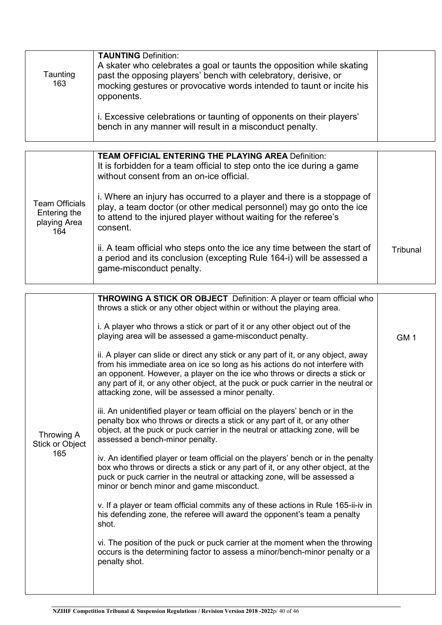| Taunting<br>163 | <b>TAUNTING Definition:</b><br>A skater who celebrates a goal or taunts the opposition while skating<br>past the opposing players' bench with celebratory, derisive, or<br>mocking gestures or provocative words intended to taunt or incite his<br>opponents. |  |
|-----------------|----------------------------------------------------------------------------------------------------------------------------------------------------------------------------------------------------------------------------------------------------------------|--|
|                 | i. Excessive celebrations or taunting of opponents on their players'<br>bench in any manner will result in a misconduct penalty.                                                                                                                               |  |

|                                                              | <b>TEAM OFFICIAL ENTERING THE PLAYING AREA Definition:</b><br>It is forbidden for a team official to step onto the ice during a game<br>without consent from an on-ice official.                                                |          |
|--------------------------------------------------------------|---------------------------------------------------------------------------------------------------------------------------------------------------------------------------------------------------------------------------------|----------|
| <b>Team Officials</b><br>Entering the<br>playing Area<br>164 | i. Where an injury has occurred to a player and there is a stoppage of<br>play, a team doctor (or other medical personnel) may go onto the ice<br>to attend to the injured player without waiting for the referee's<br>consent. |          |
|                                                              | ii. A team official who steps onto the ice any time between the start of<br>a period and its conclusion (excepting Rule 164-i) will be assessed a<br>game-misconduct penalty.                                                   | Tribunal |

|                                      | <b>THROWING A STICK OR OBJECT</b> Definition: A player or team official who<br>throws a stick or any other object within or without the playing area.<br>i. A player who throws a stick or part of it or any other object out of the<br>playing area will be assessed a game-misconduct penalty.<br>ii. A player can slide or direct any stick or any part of it, or any object, away<br>from his immediate area on ice so long as his actions do not interfere with<br>an opponent. However, a player on the ice who throws or directs a stick or | GM <sub>1</sub> |
|--------------------------------------|----------------------------------------------------------------------------------------------------------------------------------------------------------------------------------------------------------------------------------------------------------------------------------------------------------------------------------------------------------------------------------------------------------------------------------------------------------------------------------------------------------------------------------------------------|-----------------|
|                                      | any part of it, or any other object, at the puck or puck carrier in the neutral or<br>attacking zone, will be assessed a minor penalty.                                                                                                                                                                                                                                                                                                                                                                                                            |                 |
| Throwing A<br>Stick or Object<br>165 | iii. An unidentified player or team official on the players' bench or in the<br>penalty box who throws or directs a stick or any part of it, or any other<br>object, at the puck or puck carrier in the neutral or attacking zone, will be<br>assessed a bench-minor penalty.                                                                                                                                                                                                                                                                      |                 |
|                                      | iv. An identified player or team official on the players' bench or in the penalty<br>box who throws or directs a stick or any part of it, or any other object, at the<br>puck or puck carrier in the neutral or attacking zone, will be assessed a<br>minor or bench minor and game misconduct.                                                                                                                                                                                                                                                    |                 |
|                                      | v. If a player or team official commits any of these actions in Rule 165-ii-iv in<br>his defending zone, the referee will award the opponent's team a penalty<br>shot.                                                                                                                                                                                                                                                                                                                                                                             |                 |
|                                      | vi. The position of the puck or puck carrier at the moment when the throwing<br>occurs is the determining factor to assess a minor/bench-minor penalty or a<br>penalty shot.                                                                                                                                                                                                                                                                                                                                                                       |                 |
|                                      |                                                                                                                                                                                                                                                                                                                                                                                                                                                                                                                                                    |                 |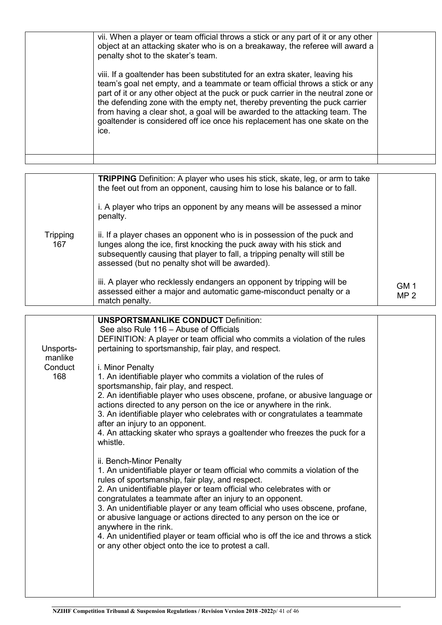| vii. When a player or team official throws a stick or any part of it or any other<br>object at an attacking skater who is on a breakaway, the referee will award a<br>penalty shot to the skater's team.                                                                                                                                                                                                                                                                                            |  |
|-----------------------------------------------------------------------------------------------------------------------------------------------------------------------------------------------------------------------------------------------------------------------------------------------------------------------------------------------------------------------------------------------------------------------------------------------------------------------------------------------------|--|
| viii. If a goaltender has been substituted for an extra skater, leaving his<br>team's goal net empty, and a teammate or team official throws a stick or any<br>part of it or any other object at the puck or puck carrier in the neutral zone or<br>the defending zone with the empty net, thereby preventing the puck carrier<br>from having a clear shot, a goal will be awarded to the attacking team. The<br>goaltender is considered off ice once his replacement has one skate on the<br>ice. |  |
|                                                                                                                                                                                                                                                                                                                                                                                                                                                                                                     |  |

|                 | <b>TRIPPING</b> Definition: A player who uses his stick, skate, leg, or arm to take<br>the feet out from an opponent, causing him to lose his balance or to fall.<br>i. A player who trips an opponent by any means will be assessed a minor<br>penalty.                          |                         |
|-----------------|-----------------------------------------------------------------------------------------------------------------------------------------------------------------------------------------------------------------------------------------------------------------------------------|-------------------------|
| Tripping<br>167 | ii. If a player chases an opponent who is in possession of the puck and<br>lunges along the ice, first knocking the puck away with his stick and<br>subsequently causing that player to fall, a tripping penalty will still be<br>assessed (but no penalty shot will be awarded). |                         |
|                 | iii. A player who recklessly endangers an opponent by tripping will be<br>assessed either a major and automatic game-misconduct penalty or a<br>match penalty.                                                                                                                    | GM 1<br>MP <sub>2</sub> |

| <b>UNSPORTSMANLIKE CONDUCT Definition:</b>                                                                                                                                                                                                                                                                                                                                                                                                                                                                                                                         |
|--------------------------------------------------------------------------------------------------------------------------------------------------------------------------------------------------------------------------------------------------------------------------------------------------------------------------------------------------------------------------------------------------------------------------------------------------------------------------------------------------------------------------------------------------------------------|
| DEFINITION: A player or team official who commits a violation of the rules                                                                                                                                                                                                                                                                                                                                                                                                                                                                                         |
| pertaining to sportsmanship, fair play, and respect.                                                                                                                                                                                                                                                                                                                                                                                                                                                                                                               |
|                                                                                                                                                                                                                                                                                                                                                                                                                                                                                                                                                                    |
| 1. An identifiable player who commits a violation of the rules of<br>2. An identifiable player who uses obscene, profane, or abusive language or<br>actions directed to any person on the ice or anywhere in the rink.<br>3. An identifiable player who celebrates with or congratulates a teammate<br>4. An attacking skater who sprays a goaltender who freezes the puck for a                                                                                                                                                                                   |
|                                                                                                                                                                                                                                                                                                                                                                                                                                                                                                                                                                    |
| 1. An unidentifiable player or team official who commits a violation of the<br>rules of sportsmanship, fair play, and respect.<br>2. An unidentifiable player or team official who celebrates with or<br>congratulates a teammate after an injury to an opponent.<br>3. An unidentifiable player or any team official who uses obscene, profane,<br>or abusive language or actions directed to any person on the ice or<br>4. An unidentified player or team official who is off the ice and throws a stick<br>or any other object onto the ice to protest a call. |
|                                                                                                                                                                                                                                                                                                                                                                                                                                                                                                                                                                    |
|                                                                                                                                                                                                                                                                                                                                                                                                                                                                                                                                                                    |
|                                                                                                                                                                                                                                                                                                                                                                                                                                                                                                                                                                    |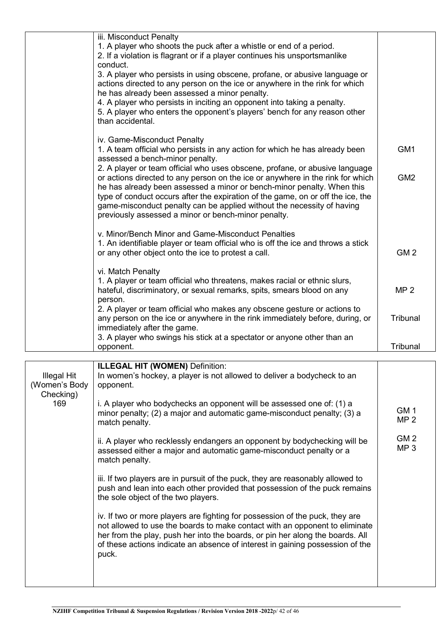| 1. A player who shoots the puck after a whistle or end of a period.<br>2. If a violation is flagrant or if a player continues his unsportsmanlike<br>conduct.<br>3. A player who persists in using obscene, profane, or abusive language or<br>actions directed to any person on the ice or anywhere in the rink for which<br>he has already been assessed a minor penalty.<br>4. A player who persists in inciting an opponent into taking a penalty.<br>5. A player who enters the opponent's players' bench for any reason other<br>than accidental.<br>iv. Game-Misconduct Penalty<br>1. A team official who persists in any action for which he has already been<br>GM <sub>1</sub><br>assessed a bench-minor penalty.<br>2. A player or team official who uses obscene, profane, or abusive language<br>GM <sub>2</sub><br>or actions directed to any person on the ice or anywhere in the rink for which<br>he has already been assessed a minor or bench-minor penalty. When this<br>type of conduct occurs after the expiration of the game, on or off the ice, the<br>game-misconduct penalty can be applied without the necessity of having<br>previously assessed a minor or bench-minor penalty.<br>v. Minor/Bench Minor and Game-Misconduct Penalties<br>1. An identifiable player or team official who is off the ice and throws a stick<br>GM <sub>2</sub><br>or any other object onto the ice to protest a call.<br>vi. Match Penalty<br>1. A player or team official who threatens, makes racial or ethnic slurs,<br>MP <sub>2</sub><br>hateful, discriminatory, or sexual remarks, spits, smears blood on any<br>person.<br>2. A player or team official who makes any obscene gesture or actions to<br>any person on the ice or anywhere in the rink immediately before, during, or<br>Tribunal<br>immediately after the game.<br>3. A player who swings his stick at a spectator or anyone other than an<br>Tribunal<br>opponent. | iii. Misconduct Penalty |  |
|--------------------------------------------------------------------------------------------------------------------------------------------------------------------------------------------------------------------------------------------------------------------------------------------------------------------------------------------------------------------------------------------------------------------------------------------------------------------------------------------------------------------------------------------------------------------------------------------------------------------------------------------------------------------------------------------------------------------------------------------------------------------------------------------------------------------------------------------------------------------------------------------------------------------------------------------------------------------------------------------------------------------------------------------------------------------------------------------------------------------------------------------------------------------------------------------------------------------------------------------------------------------------------------------------------------------------------------------------------------------------------------------------------------------------------------------------------------------------------------------------------------------------------------------------------------------------------------------------------------------------------------------------------------------------------------------------------------------------------------------------------------------------------------------------------------------------------------------------------------------------------------------------------------------------------------------------------|-------------------------|--|
|                                                                                                                                                                                                                                                                                                                                                                                                                                                                                                                                                                                                                                                                                                                                                                                                                                                                                                                                                                                                                                                                                                                                                                                                                                                                                                                                                                                                                                                                                                                                                                                                                                                                                                                                                                                                                                                                                                                                                        |                         |  |
|                                                                                                                                                                                                                                                                                                                                                                                                                                                                                                                                                                                                                                                                                                                                                                                                                                                                                                                                                                                                                                                                                                                                                                                                                                                                                                                                                                                                                                                                                                                                                                                                                                                                                                                                                                                                                                                                                                                                                        |                         |  |
|                                                                                                                                                                                                                                                                                                                                                                                                                                                                                                                                                                                                                                                                                                                                                                                                                                                                                                                                                                                                                                                                                                                                                                                                                                                                                                                                                                                                                                                                                                                                                                                                                                                                                                                                                                                                                                                                                                                                                        |                         |  |
|                                                                                                                                                                                                                                                                                                                                                                                                                                                                                                                                                                                                                                                                                                                                                                                                                                                                                                                                                                                                                                                                                                                                                                                                                                                                                                                                                                                                                                                                                                                                                                                                                                                                                                                                                                                                                                                                                                                                                        |                         |  |
|                                                                                                                                                                                                                                                                                                                                                                                                                                                                                                                                                                                                                                                                                                                                                                                                                                                                                                                                                                                                                                                                                                                                                                                                                                                                                                                                                                                                                                                                                                                                                                                                                                                                                                                                                                                                                                                                                                                                                        |                         |  |
|                                                                                                                                                                                                                                                                                                                                                                                                                                                                                                                                                                                                                                                                                                                                                                                                                                                                                                                                                                                                                                                                                                                                                                                                                                                                                                                                                                                                                                                                                                                                                                                                                                                                                                                                                                                                                                                                                                                                                        |                         |  |
|                                                                                                                                                                                                                                                                                                                                                                                                                                                                                                                                                                                                                                                                                                                                                                                                                                                                                                                                                                                                                                                                                                                                                                                                                                                                                                                                                                                                                                                                                                                                                                                                                                                                                                                                                                                                                                                                                                                                                        |                         |  |
|                                                                                                                                                                                                                                                                                                                                                                                                                                                                                                                                                                                                                                                                                                                                                                                                                                                                                                                                                                                                                                                                                                                                                                                                                                                                                                                                                                                                                                                                                                                                                                                                                                                                                                                                                                                                                                                                                                                                                        |                         |  |
|                                                                                                                                                                                                                                                                                                                                                                                                                                                                                                                                                                                                                                                                                                                                                                                                                                                                                                                                                                                                                                                                                                                                                                                                                                                                                                                                                                                                                                                                                                                                                                                                                                                                                                                                                                                                                                                                                                                                                        |                         |  |
|                                                                                                                                                                                                                                                                                                                                                                                                                                                                                                                                                                                                                                                                                                                                                                                                                                                                                                                                                                                                                                                                                                                                                                                                                                                                                                                                                                                                                                                                                                                                                                                                                                                                                                                                                                                                                                                                                                                                                        |                         |  |
|                                                                                                                                                                                                                                                                                                                                                                                                                                                                                                                                                                                                                                                                                                                                                                                                                                                                                                                                                                                                                                                                                                                                                                                                                                                                                                                                                                                                                                                                                                                                                                                                                                                                                                                                                                                                                                                                                                                                                        |                         |  |
|                                                                                                                                                                                                                                                                                                                                                                                                                                                                                                                                                                                                                                                                                                                                                                                                                                                                                                                                                                                                                                                                                                                                                                                                                                                                                                                                                                                                                                                                                                                                                                                                                                                                                                                                                                                                                                                                                                                                                        |                         |  |
|                                                                                                                                                                                                                                                                                                                                                                                                                                                                                                                                                                                                                                                                                                                                                                                                                                                                                                                                                                                                                                                                                                                                                                                                                                                                                                                                                                                                                                                                                                                                                                                                                                                                                                                                                                                                                                                                                                                                                        |                         |  |
|                                                                                                                                                                                                                                                                                                                                                                                                                                                                                                                                                                                                                                                                                                                                                                                                                                                                                                                                                                                                                                                                                                                                                                                                                                                                                                                                                                                                                                                                                                                                                                                                                                                                                                                                                                                                                                                                                                                                                        |                         |  |
|                                                                                                                                                                                                                                                                                                                                                                                                                                                                                                                                                                                                                                                                                                                                                                                                                                                                                                                                                                                                                                                                                                                                                                                                                                                                                                                                                                                                                                                                                                                                                                                                                                                                                                                                                                                                                                                                                                                                                        |                         |  |
|                                                                                                                                                                                                                                                                                                                                                                                                                                                                                                                                                                                                                                                                                                                                                                                                                                                                                                                                                                                                                                                                                                                                                                                                                                                                                                                                                                                                                                                                                                                                                                                                                                                                                                                                                                                                                                                                                                                                                        |                         |  |
|                                                                                                                                                                                                                                                                                                                                                                                                                                                                                                                                                                                                                                                                                                                                                                                                                                                                                                                                                                                                                                                                                                                                                                                                                                                                                                                                                                                                                                                                                                                                                                                                                                                                                                                                                                                                                                                                                                                                                        |                         |  |
|                                                                                                                                                                                                                                                                                                                                                                                                                                                                                                                                                                                                                                                                                                                                                                                                                                                                                                                                                                                                                                                                                                                                                                                                                                                                                                                                                                                                                                                                                                                                                                                                                                                                                                                                                                                                                                                                                                                                                        |                         |  |
|                                                                                                                                                                                                                                                                                                                                                                                                                                                                                                                                                                                                                                                                                                                                                                                                                                                                                                                                                                                                                                                                                                                                                                                                                                                                                                                                                                                                                                                                                                                                                                                                                                                                                                                                                                                                                                                                                                                                                        |                         |  |
|                                                                                                                                                                                                                                                                                                                                                                                                                                                                                                                                                                                                                                                                                                                                                                                                                                                                                                                                                                                                                                                                                                                                                                                                                                                                                                                                                                                                                                                                                                                                                                                                                                                                                                                                                                                                                                                                                                                                                        |                         |  |
|                                                                                                                                                                                                                                                                                                                                                                                                                                                                                                                                                                                                                                                                                                                                                                                                                                                                                                                                                                                                                                                                                                                                                                                                                                                                                                                                                                                                                                                                                                                                                                                                                                                                                                                                                                                                                                                                                                                                                        |                         |  |
|                                                                                                                                                                                                                                                                                                                                                                                                                                                                                                                                                                                                                                                                                                                                                                                                                                                                                                                                                                                                                                                                                                                                                                                                                                                                                                                                                                                                                                                                                                                                                                                                                                                                                                                                                                                                                                                                                                                                                        |                         |  |
|                                                                                                                                                                                                                                                                                                                                                                                                                                                                                                                                                                                                                                                                                                                                                                                                                                                                                                                                                                                                                                                                                                                                                                                                                                                                                                                                                                                                                                                                                                                                                                                                                                                                                                                                                                                                                                                                                                                                                        |                         |  |
|                                                                                                                                                                                                                                                                                                                                                                                                                                                                                                                                                                                                                                                                                                                                                                                                                                                                                                                                                                                                                                                                                                                                                                                                                                                                                                                                                                                                                                                                                                                                                                                                                                                                                                                                                                                                                                                                                                                                                        |                         |  |
|                                                                                                                                                                                                                                                                                                                                                                                                                                                                                                                                                                                                                                                                                                                                                                                                                                                                                                                                                                                                                                                                                                                                                                                                                                                                                                                                                                                                                                                                                                                                                                                                                                                                                                                                                                                                                                                                                                                                                        |                         |  |
|                                                                                                                                                                                                                                                                                                                                                                                                                                                                                                                                                                                                                                                                                                                                                                                                                                                                                                                                                                                                                                                                                                                                                                                                                                                                                                                                                                                                                                                                                                                                                                                                                                                                                                                                                                                                                                                                                                                                                        |                         |  |
|                                                                                                                                                                                                                                                                                                                                                                                                                                                                                                                                                                                                                                                                                                                                                                                                                                                                                                                                                                                                                                                                                                                                                                                                                                                                                                                                                                                                                                                                                                                                                                                                                                                                                                                                                                                                                                                                                                                                                        |                         |  |
|                                                                                                                                                                                                                                                                                                                                                                                                                                                                                                                                                                                                                                                                                                                                                                                                                                                                                                                                                                                                                                                                                                                                                                                                                                                                                                                                                                                                                                                                                                                                                                                                                                                                                                                                                                                                                                                                                                                                                        |                         |  |
|                                                                                                                                                                                                                                                                                                                                                                                                                                                                                                                                                                                                                                                                                                                                                                                                                                                                                                                                                                                                                                                                                                                                                                                                                                                                                                                                                                                                                                                                                                                                                                                                                                                                                                                                                                                                                                                                                                                                                        |                         |  |
|                                                                                                                                                                                                                                                                                                                                                                                                                                                                                                                                                                                                                                                                                                                                                                                                                                                                                                                                                                                                                                                                                                                                                                                                                                                                                                                                                                                                                                                                                                                                                                                                                                                                                                                                                                                                                                                                                                                                                        |                         |  |
|                                                                                                                                                                                                                                                                                                                                                                                                                                                                                                                                                                                                                                                                                                                                                                                                                                                                                                                                                                                                                                                                                                                                                                                                                                                                                                                                                                                                                                                                                                                                                                                                                                                                                                                                                                                                                                                                                                                                                        |                         |  |
|                                                                                                                                                                                                                                                                                                                                                                                                                                                                                                                                                                                                                                                                                                                                                                                                                                                                                                                                                                                                                                                                                                                                                                                                                                                                                                                                                                                                                                                                                                                                                                                                                                                                                                                                                                                                                                                                                                                                                        |                         |  |
|                                                                                                                                                                                                                                                                                                                                                                                                                                                                                                                                                                                                                                                                                                                                                                                                                                                                                                                                                                                                                                                                                                                                                                                                                                                                                                                                                                                                                                                                                                                                                                                                                                                                                                                                                                                                                                                                                                                                                        |                         |  |

| Illegal Hit<br>(Women's Body<br>Checking) | <b>ILLEGAL HIT (WOMEN)</b> Definition:<br>In women's hockey, a player is not allowed to deliver a bodycheck to an<br>opponent.                                                                                                                                                                                                         |                                    |
|-------------------------------------------|----------------------------------------------------------------------------------------------------------------------------------------------------------------------------------------------------------------------------------------------------------------------------------------------------------------------------------------|------------------------------------|
| 169                                       | i. A player who bodychecks an opponent will be assessed one of: (1) a<br>minor penalty; (2) a major and automatic game-misconduct penalty; (3) a<br>match penalty.                                                                                                                                                                     | GM <sub>1</sub><br>MP <sub>2</sub> |
|                                           | ii. A player who recklessly endangers an opponent by bodychecking will be<br>assessed either a major and automatic game-misconduct penalty or a<br>match penalty.                                                                                                                                                                      | GM <sub>2</sub><br>MP <sub>3</sub> |
|                                           | iii. If two players are in pursuit of the puck, they are reasonably allowed to<br>push and lean into each other provided that possession of the puck remains<br>the sole object of the two players.                                                                                                                                    |                                    |
|                                           | iv. If two or more players are fighting for possession of the puck, they are<br>not allowed to use the boards to make contact with an opponent to eliminate<br>her from the play, push her into the boards, or pin her along the boards. All<br>of these actions indicate an absence of interest in gaining possession of the<br>puck. |                                    |
|                                           |                                                                                                                                                                                                                                                                                                                                        |                                    |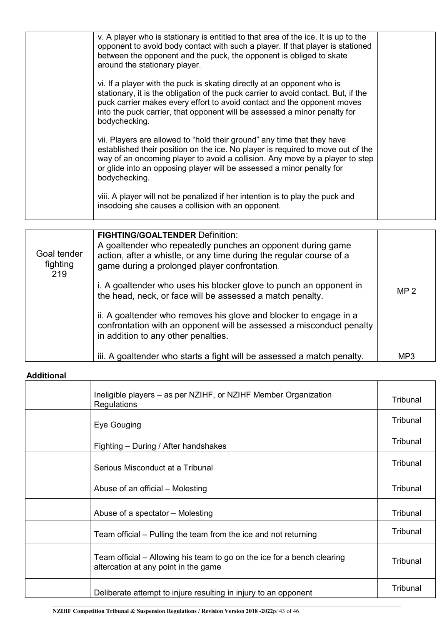| v. A player who is stationary is entitled to that area of the ice. It is up to the<br>opponent to avoid body contact with such a player. If that player is stationed<br>between the opponent and the puck, the opponent is obliged to skate<br>around the stationary player.                                                           |  |
|----------------------------------------------------------------------------------------------------------------------------------------------------------------------------------------------------------------------------------------------------------------------------------------------------------------------------------------|--|
| vi. If a player with the puck is skating directly at an opponent who is<br>stationary, it is the obligation of the puck carrier to avoid contact. But, if the<br>puck carrier makes every effort to avoid contact and the opponent moves<br>into the puck carrier, that opponent will be assessed a minor penalty for<br>bodychecking. |  |
| vii. Players are allowed to "hold their ground" any time that they have<br>established their position on the ice. No player is required to move out of the<br>way of an oncoming player to avoid a collision. Any move by a player to step<br>or glide into an opposing player will be assessed a minor penalty for<br>bodychecking.   |  |
| viii. A player will not be penalized if her intention is to play the puck and<br>insodoing she causes a collision with an opponent.                                                                                                                                                                                                    |  |

| Goal tender<br>fighting<br>219 | <b>FIGHTING/GOALTENDER Definition:</b><br>A goaltender who repeatedly punches an opponent during game<br>action, after a whistle, or any time during the regular course of a<br>game during a prolonged player confrontation.<br>i. A goaltender who uses his blocker glove to punch an opponent in<br>the head, neck, or face will be assessed a match penalty.<br>ii. A goaltender who removes his glove and blocker to engage in a<br>confrontation with an opponent will be assessed a misconduct penalty<br>in addition to any other penalties. | MP <sub>2</sub> |
|--------------------------------|------------------------------------------------------------------------------------------------------------------------------------------------------------------------------------------------------------------------------------------------------------------------------------------------------------------------------------------------------------------------------------------------------------------------------------------------------------------------------------------------------------------------------------------------------|-----------------|
|                                | iii. A goaltender who starts a fight will be assessed a match penalty.                                                                                                                                                                                                                                                                                                                                                                                                                                                                               | MP3             |

#### **Additional**

| Ineligible players – as per NZIHF, or NZIHF Member Organization<br><b>Regulations</b>                           | Tribunal |
|-----------------------------------------------------------------------------------------------------------------|----------|
| Eye Gouging                                                                                                     | Tribunal |
| Fighting – During / After handshakes                                                                            | Tribunal |
| Serious Misconduct at a Tribunal                                                                                | Tribunal |
| Abuse of an official – Molesting                                                                                | Tribunal |
| Abuse of a spectator – Molesting                                                                                | Tribunal |
| Team official – Pulling the team from the ice and not returning                                                 | Tribunal |
| Team official – Allowing his team to go on the ice for a bench clearing<br>altercation at any point in the game | Tribunal |
| Deliberate attempt to injure resulting in injury to an opponent                                                 | Tribunal |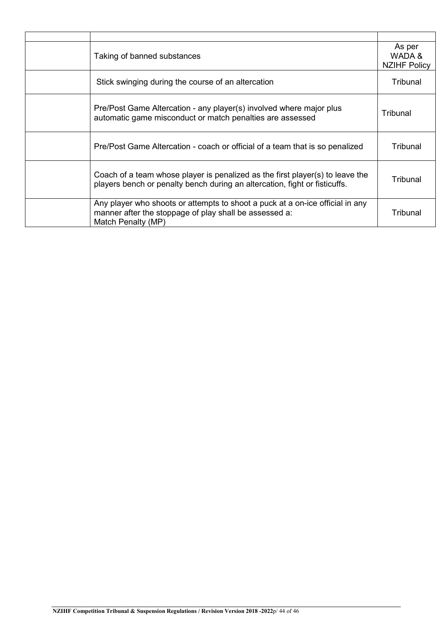| Taking of banned substances                                                                                                                                   | As per<br>WADA &<br><b>NZIHF Policy</b> |
|---------------------------------------------------------------------------------------------------------------------------------------------------------------|-----------------------------------------|
| Stick swinging during the course of an altercation                                                                                                            | Tribunal                                |
| Pre/Post Game Altercation - any player(s) involved where major plus<br>automatic game misconduct or match penalties are assessed                              | Tribunal                                |
| Pre/Post Game Altercation - coach or official of a team that is so penalized                                                                                  | Tribunal                                |
| Coach of a team whose player is penalized as the first player(s) to leave the<br>players bench or penalty bench during an altercation, fight or fisticuffs.   | Tribunal                                |
| Any player who shoots or attempts to shoot a puck at a on-ice official in any<br>manner after the stoppage of play shall be assessed a:<br>Match Penalty (MP) | Tribunal                                |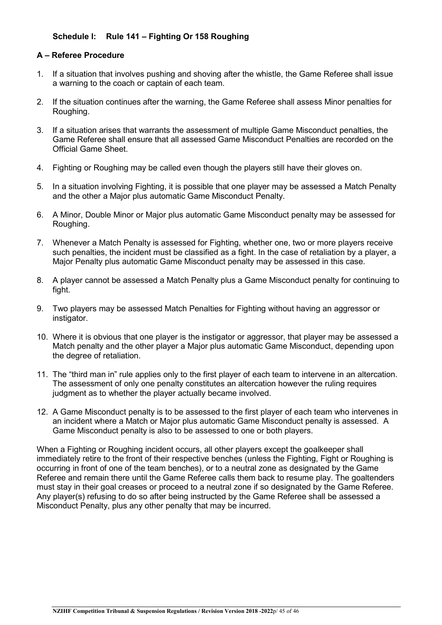#### **Schedule I: Rule 141 – Fighting Or 158 Roughing**

#### **A – Referee Procedure**

- 1. If a situation that involves pushing and shoving after the whistle, the Game Referee shall issue a warning to the coach or captain of each team.
- 2. If the situation continues after the warning, the Game Referee shall assess Minor penalties for Roughing.
- 3. If a situation arises that warrants the assessment of multiple Game Misconduct penalties, the Game Referee shall ensure that all assessed Game Misconduct Penalties are recorded on the Official Game Sheet.
- 4. Fighting or Roughing may be called even though the players still have their gloves on.
- 5. In a situation involving Fighting, it is possible that one player may be assessed a Match Penalty and the other a Major plus automatic Game Misconduct Penalty.
- 6. A Minor, Double Minor or Major plus automatic Game Misconduct penalty may be assessed for Roughing.
- 7. Whenever a Match Penalty is assessed for Fighting, whether one, two or more players receive such penalties, the incident must be classified as a fight. In the case of retaliation by a player, a Major Penalty plus automatic Game Misconduct penalty may be assessed in this case.
- 8. A player cannot be assessed a Match Penalty plus a Game Misconduct penalty for continuing to fight.
- 9. Two players may be assessed Match Penalties for Fighting without having an aggressor or instigator.
- 10. Where it is obvious that one player is the instigator or aggressor, that player may be assessed a Match penalty and the other player a Major plus automatic Game Misconduct, depending upon the degree of retaliation.
- 11. The "third man in" rule applies only to the first player of each team to intervene in an altercation. The assessment of only one penalty constitutes an altercation however the ruling requires judgment as to whether the player actually became involved.
- 12. A Game Misconduct penalty is to be assessed to the first player of each team who intervenes in an incident where a Match or Major plus automatic Game Misconduct penalty is assessed. A Game Misconduct penalty is also to be assessed to one or both players.

When a Fighting or Roughing incident occurs, all other players except the goalkeeper shall immediately retire to the front of their respective benches (unless the Fighting, Fight or Roughing is occurring in front of one of the team benches), or to a neutral zone as designated by the Game Referee and remain there until the Game Referee calls them back to resume play. The goaltenders must stay in their goal creases or proceed to a neutral zone if so designated by the Game Referee. Any player(s) refusing to do so after being instructed by the Game Referee shall be assessed a Misconduct Penalty, plus any other penalty that may be incurred.